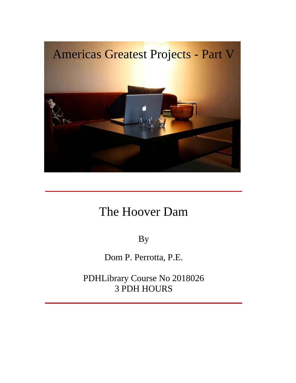

### The Hoover Dam

By

Dom P. Perrotta, P.E.

PDHLibrary Course No 2018026 3 PDH HOURS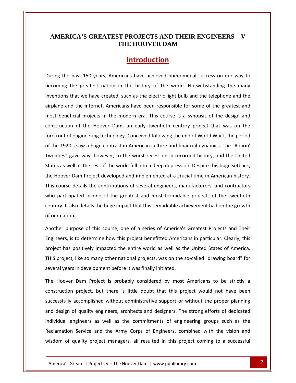## **AMERICA**<sup>**'s GREATEST PROJECTS AND THEIR ENGINEERS – V</sup> THE HOOVER DAM** ERICA'S GREATEST PROJECTS AND THEIR ENGINEERS - V<br>THE HOOVER DAM<br>Introduction<br>the past 150 years. Americans have achieved phenomenal success on our way to

THE HOOVER DAM<br>
Introduction<br>
past 150 years, Americans have achieved phenomenal success on our way to<br>
the greatest nation in the history of the world. Notwithstanding the many **Introduction**<br>past 150 years, Americans have achieved phenomenal success on our way to<br>the greatest nation in the history of the world. Notwithstanding the many<br>that we have created, such as the electric light bulb and th and the internet. Americans have achieved phenomenal success on our way to<br>a the greatest nation in the history of the world. Notwithstanding the many<br>is that we have created, such as the electric light bulb and the teleph During the past 150 years, Americans have achieved phenomenal success on our way to beneficial projects in the modern era. This course is a synopsis of the design and<br>beneficial projects in the modern era. This course is a synopsis of the design and<br>beneficial projects in the modern era. This course is a becoming the greatest nation in the history of the world. Notwithstanding the many e greatest nation in the history of the world. Notwithstanding the many<br>at we have created, such as the electric light bulb and the telephone and the<br>the internet, Americans have been responsible for some of the greatest a inventions that we have created, such as the electric light bulb and the telephone and the of that we have created, such as the electric light bulb and the telephone and the<br>
und the internet, Americans have been responsible for some of the greatest and<br>
eficial projects in the modern era. This course is a synop airplane and the internet, Americans have been responsible for some of the greatest and airplane and the internet, Americans have been responsible for some of the greatest and<br>most beneficial projects in the modern era. This course is a synopsis of the design and<br>construction of the Hoover Dam, an early twent ficial projects in the modern era. This course is a synopsis of the design and<br>on of the Hoover Dam, an early twentieth century project that was on the<br>f engineering technology. Conceived following the end of World War I, construction of the Hoover Dam, an early twentieth century project that was on the construction of the Hoover Dam, an early twentieth century project that was on the<br>forefront of engineering technology. Conceived following the end of World War I, the period<br>of the 1920's saw a huge contrast in American c forefront of engineering technology. Conceived following the end of World War I, the period<br>of the 1920's saw a huge contrast in American culture and financial dynamics. The "Roarin'<br>Twenties" gave way, however, to the wor e 1920's saw a huge contrast in American culture and financial dynamics. The "Roarin'<br>hties" gave way, however, to the worst recession in recorded history, and the United<br>is as well as the rest of the world fell into a dee Twenties" gave way, however, to the worst recession in recorded history, and the United ties" gave way, however, to the worst recession in recorded history, and the United<br>
s as well as the rest of the world fell into a deep depression. Despite this huge setback,<br>
oover Dam Project developed and implemented a States as well as the rest of the world fell into a deep depression. Despite this huge setback, well as the rest of the world fell into a deep depression. Despite this huge setback,<br>
ver Dam Project developed and implemented at a crucial time in American history.<br>
The details the contributions of several engineers, m the Hoover Dam P<br>This course details<br>who participated<br>century. It also det<br>of our nation. se details the contributions of several engineers, manufacturers, and contractors<br>icipated in one of the greatest and most formidable projects of the twentieth<br>it also details the huge impact that this remarkable achieveme who participated in one of the greatest and most formidable projects of the twentieth ipated in one of the greatest and most formidable projects of the twentieth<br>also details the huge impact that this remarkable achievement had on the growth<br>on.<br>irpose of this course, one of a series of <u>America's Greatest </u> century. It also details the huge impact that this remarkable achievement had on the growth

century. It also details the huge impact that this remarkable achievement had on the growth<br>of our nation.<br>Another purpose of this course, one of a series of <u>America's Greatest Projects and Their</u><br>Engineers, is to determi r nation.<br>her purpose of this course, one of a series of <u>America's Greatest Projects and Their</u><br>neers, is to determine how this project benefitted Americans in particular. Clearly, this<br>ct has positively impacted the enti Another purpose of this course, one of a series of <u>America's</u><br>Engineers, is to determine how this project benefitted America<br>project has positively impacted the entire world as well as the<br>THIS project, like so many other neers, is to determine how this project benefitted Americans in particular. Clearly, this<br>ct has positively impacted the entire world as well as the United States of America.<br>project, like so many other national projects, project has positively impacted the entire world as well as the United States of America. positively impacted the entire world as well as the United States of America.<br>
ike so many other national projects, was on the so-called "drawing board" for<br>
in development before it was finally initiated.<br>
Dam Project is THIS project, like so many other national projects, was on the so-called "drawing board" for several years in development before it was finally initiated.

individual engineers as well as the commitments of engineering groups such as the of quality engineers, architects and designers. The strong efforts of dedicated<br>engineers as well as the commitments of engineering groups such as the<br>in Service and the Army Corps of Engineers, combined with the vision an Iike so many other national projects, was on the so-called "drawing board" for<br>in development before it was finally initiated.<br>Dam Project is probably considered by most Americans to be strictly a<br>project, but there is lit ral years in development before it was finally initiated.<br>
Hoover Dam Project is probably considered by most Americans to be strictly a<br>
truction project, but there is little doubt that this project would not have been<br>
es The Hoover Dam Project is probably considered by most Americans to be strictly a engineers as well as the commitments of engineering groups such as the complished without administrative support or without the proper planning<br>of quality engineers, architects and designers. The strong efforts of dedicate construction project, but there is little doubt that this project would not have been project, but there is little doubt that this project would not have been<br>complished without administrative support or without the proper planning<br>f quality engineers, architects and designers. The strong efforts of dedicat successfully accomplished without administrative support or without the proper planning and design of quality engineers, architects and designers. The strong efforts of dedicated<br>individual engineers as well as the commitments of engineering groups such as the<br>Reclamation Service and the Army Corps of Enginee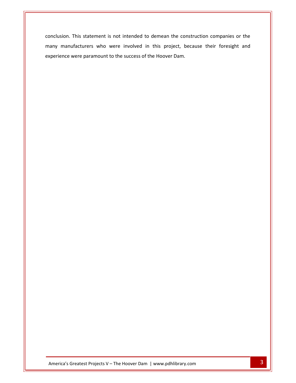This statement is not intended to demean the construction companies or the manufacturers who were involved in this project, because their foresight and This statement is not intended to demean the countacturers who were involved in this project, by were paramount to the success of the Hoover Dam.

experience and the contract of the contract of the contract of the contract of the contract of the contract of<br>The contract of the contract of the contract of the contract of the contract of the contract of the contract o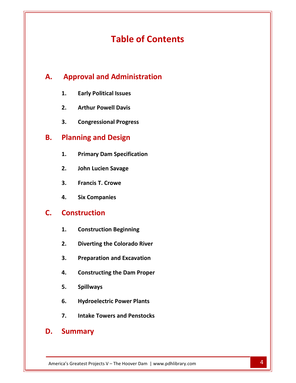# **of Contents Table of Contents**<br> **Approval and Administration**

# **Early Political Issues Yoval and Administra<br>Early Political Issues<br>Arthur Powell Davis 2. Congressional Administration**<br> **2. Arthur Powell Davis**<br> **3. Congressional Progress**<br> **Planning and Design B.**

- 
- **1.**
- **Arthur Powell Davis<br>Congressional Progress<br><b>Primary Dam Specification**<br>Primary Dam Specification **2.**

### **Planning and Design B.**

**A.**

- **Congressional Progress<br><b>Aing and Design<br>Primary Dam Specification<br>John Lucien Savage ning and Design<br>Primary Dam Specificatio<br>John Lucien Savage<br>Francis T. Crowe Primary Dam Specifica<br>John Lucien Savage<br>Francis T. Crowe<br>Six Companies** 1. Primary Dam Specifica<br>2. John Lucien Savage<br>3. Francis T. Crowe<br>4. Six Companies<br>**Construction**
- 
- **1.**
- **2.**

### **Construction**  $\mathsf{C}$ .

- **Francis T. Crowe<br>Six Companies<br><b>truction**<br>Construction Beginning **Six Companies<br>truction<br>Construction Beginning<br>Diverting the Colorado River**
- **Fruction<br>Preparation Beginning<br>Piverting the Colorado River<br>Preparation and Excavation Construction Beginning<br>Diverting the Colorado River<br>Preparation and Excavation<br>Constructing the Dam Proper**  $2.$
- 
- **Diverting the Colorado River<br>Preparation and Excavation<br>Constructing the Dam Proper<br>Spillways Preparation and Excavation<br>Constructing the Dam Proper<br>Spillways<br>Hvdroelectric Power Plants Constructing the Dam Proper<br>Spillways<br>Hydroelectric Power Plants<br>Intake Towers and Penstocks**
- 4. Consti<br>5. Spillw<br>6. Hydro<br>7. Intake<br>**Summarv**
- 
- Intake Towers and Penstocks<br>
mmary<br>
Greatest Projects V The Hoover Dam | www.pdhlibrary.com 4

### D.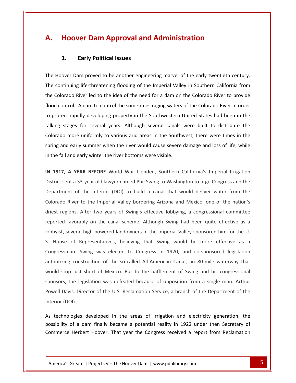# **Hoover Dam Approval and Administration Early 2018 Team**<br> **Early Political Issues**<br> **Early Political Issues** A. **A. Hoover Dam Approval and Administration**<br>1. Early Political Issues<br>The Hoover Dam proved to be another engineering marvel of the early twentieth century.

**1.**

1. **Early Political Issues**<br>
Hoover Dam proved to be another engineering marvel of the early twentieth century.<br>
continuing life-threatening flooding of the Imperial Valley in Southern California from 1. **Early Political Issues**<br>
Hoover Dam proved to be another engineering marvel of the early twentieth century.<br>
continuing life-threatening flooding of the Imperial Valley in Southern California from<br>
Colorado River led t oover Dam proved to be another engineering marvel of the early twentieth century.<br>
Sontinuing life-threatening flooding of the Imperial Valley in Southern California from<br>
Diorado River led to the idea of the need for a da The Hoover Dam proved to be another engineering marvel of the early twentieth century. Protoker Dam proved to be another engineering marvel of the early twentieth century.<br>
Protokining life-threatening flooding of the Imperial Valley in Southern California from<br>
Protokological Colorado River led to the idea The continuing life-threatening flooding of the Imperial Valley in Southern California from tinuing life-threatening flooding of the Imperial Valley in Southern California from<br>orado River led to the idea of the need for a dam on the Colorado River to provide<br>ntrol. A dam to control the sometimes raging waters of the Color ado River led to the idea of the need for a dam on the Colorado River to provide<br>rol. A dam to control the sometimes raging waters of the Colorado River in order<br>rapidly developing property in the Southwestern United State flood control. A dam to control the sometimes raging waters of the Colorado River in order ontrol. A dam to control the sometimes raging waters of the Colorado River in order<br>tect rapidly developing property in the Southwestern United States had been in the<br>stages for several years. Although several canals were to protect rapidly developing property in the Southwestern I<br>talking stages for several years. Although several canals<br>Colorado more uniformly to various arid areas in the South<br>spring and early summer when the river would talking stages for several years. Although several canals were built to distribute the **1917, A YEAR BEFORE** World War I ended, Southern California's Imperial Irrigation Colorado more uniformly to various arid areas in the Southwest, there were times in the sent a 33-year old lawyer named Phil Swing to Washington to urge Congress and the<br>sent a 33-year old lawyer named Phil Swing to Washington to urge Congress and the<br>sent a 33-year old lawyer named Phil Swing to Washington t spring and early summer when the river would cause severe damage and loss of life, while  $\overline{\phantom{a}}$ 

of the Interior (DOI) to build a canal that would deliver water from the<br>I early winter the river bottoms were visible.<br>I SAR BEFORE World War I ended, Southern California's Imperial Irrigation<br>I 33-year old lawyer named P River to the Internet valley the Indeed, Southern California's Imperial Irrigation<br>The Arizona and Salver to the Interior (DOI) to build a canal that would deliver water from the<br>River to the Imperial Valley bordering Ariz in 10 17, A YEAR BEFORE World War I ended, Southern California's Imperial Irrigation<br>t sent a 33-year old lawyer named Phil Swing to Washington to urge Congress and the<br>ment of the Interior (DOI) to build a canal that would deli District sent a 33-year old lawyer named Phil Swing to Washington to urge Congress and the Intertianal Sa-year old lawyer named Phil Swing to Washington to urge Congress and the<br>
Intert of the Interior (DOI) to build a canal that would deliver water from the<br>
River to the Imperial Valley bordering Arizona and Me Department of the Interior (DOI) to build a canal that would deliver water from the<br>Colorado River to the Imperial Valley bordering Arizona and Mexico, one of the nation's<br>driest regions. After two years of Swing's effecti Colorado River to the Imperial Valley bordering Arizona and Mexico, one of the nation's driest regions. After two years of Swing's effective lobbying, a congressional committee After two years of Swing's effective lobbying, a congressional committee<br>
Subly on the canal scheme. Although Swing had been quite effective as a<br>
I high-powered landowners in the Imperial Valley sponsored him for the U.<br> reported favorably on the canal scheme. Although Swing had been quite effective as a<br>lobbyist, several high-powered landowners in the Imperial Valley sponsored him for the U.<br>S. House of Representatives, believing that Swi lobbyist, several high-powered landowners in the Imperial Valley sponsored him for the U. t, several high-powered landowners in the Imperial Valley sponsored him for the U.<br>
se of Representatives, believing that Swing would be more effective as a<br>
ssman. Swing was elected to Congress in 1920, and co-sponsored l S. House of Representatives, believing that Swing would be more effective as a Congressman. Swing was elected to Congress in 1920, and co-sponsored legislation authorizing construction of the so-called All-American Canal, Congressman. Swing was elected to Congress in 1920, and co-sponsored legislation ssman. Swing was elected to Congress in 1920, and co-sponsored legislation<br>zing construction of the so-called All-American Canal, an 80-mile waterway that<br>stop just short of Mexico. But to the bafflement of Swing and his c authorizing construction of the so-called All-American Canal, an 80-mile waterway that authorizing constr<br>would stop just s<br>sponsors, the legi<br>Powell Davis, Dire<br>Interior (DOI). Ind stop just short of Mexico. But to the barriement or Swing and his congressional<br>nsors, the legislation was defeated because of opposition from a single man: Arthur<br>rell Davis, Director of the U.S. Reclamation Service, sponsors, Interior (DOI).<br>As technologies developed in the areas of irrigation and electricity generation, the Powell Davis, Director of the U.S. Reclamation Service, a branch of the Department of the

ossibility logies developed in the areas of irrigation and electricity generation, the<br>
of a dam finally became a potential reality in 1922 under then Secretary of<br>
Herbert Hoover. That year the Congress received a report from Reclam S, Director of the U.S. Reclamation Service, a branch of the Department of the<br>
1).<br>
1).<br>
1).<br>
1998 developed in the areas of irrigation and electricity generation, the<br>
16 dam finally became a potential reality in 1922 un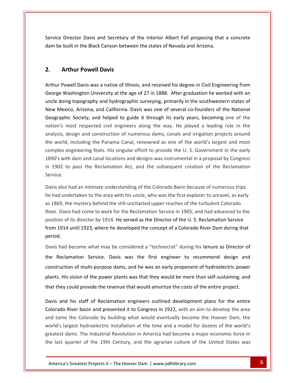Director Davis and Secretary of the Interior Albert Fall proposing that <sup>a</sup> concrete Service Director Davis and Secretary of the Interior Albert Fall proposing that a concrete Director Davis and Secretary conductional **Davis**<br> **Arthur Powell Davis** dam be built in the Black Canyon between the states of Nevada and Arizona. Powell Davis was a native of Illinois, and received his degree in Civil Engineering from

### $2<sub>1</sub>$

Arthur Powell Davis<br>Powell Davis was a native of Illinois, and received his degree in Civil Engineering from<br>Washington University at the age of 27 in 1888. After graduation he worked with an **Arthur Powell Davis**<br>and hydrography and received his degree in Civil Engineering from<br>doing topography and hydrographic surveying, primarily in the southwestern states of Arthur Powell Davis<br>In Powell Davis was a native of Illinois, and received his degree in Civil Engineering from<br>ge Washington University at the age of 27 in 1888. After graduation he worked with an<br>doing topography and hyd Il Davis was a native of Illinois, and received his degree in Civil Engineering from<br>hington University at the age of 27 in 1888. After graduation he worked with an<br>topography and hydrographic surveying, primarily in the s Arthur F by in the sequent in Civil Engineering from<br>
Vashington University at the age of 27 in 1888. After graduation he worked with an<br>
Ing topography and hydrographic surveying, primarily in the southwestern states of<br>
sico, Ari George Washington University at the age of 27 in 1888. After graduation he worked with an Vashington University at the age of 27 in 1888. After graduation he worked with an<br>ng topography and hydrographic surveying, primarily in the southwestern states of<br>sico, Arizona, and California. Davis was one of several c uncle doing topography and hydrographic surveying, primarily in the southwestern states of e doing topography and hydrographic surveying, primarily in the southwestern states of<br>
v Mexico, Arizona, and California. Davis was one of several co-founders of the National<br>
graphic Society, and helped to guide it throu New Mexico, Arizona, and California. Davis was one of several co-founders of the National kico, Arizona, and California. Davis was one of several co-founders of the National<br>nic Society, and helped to guide it through its early years, becoming one of the<br>most respected civil engineers along the way. He played a Geographic Society, and helped to guide it through its early years, becoming one of the<br>nation's most respected civil engineers along the way. He played a leading role in the<br>analysis, design and construction of numerous d nation's most respected civil engineers along the way. He played a leading role in the ion's most respected civil engineers along the way. He played a leading role in the<br>alysis, design and construction of numerous dams, canals and irrigation projects around<br>e world, including the Panama Canal, renowned as o analysis, design and construction of numerous dams, canals and irrigation projects around Examplex engineering feats. His singular effort to provide the U.S. Government in the early<br>1890's with dam and canal locations and designs was instrumental in a proposal by Congress<br>in 1902 to pass the Reclamation Act, an  $\sim$ had undertaken to the area with his uncle, who was the first explorer to unravel, as early<br>had undertaken to the area with his uncle, who was the first explorer to unravel, as early<br>had undertaken to the area with his uncl 1890's with dam and canal locations and designs was instrumental in a proposal by Congress in 1902 to pass the Reclamation Act, and the subsequent creation of the Reclamation Service.

1902 to pass the Reclamation Act, and the subsequent creation of the Reclamation<br>Trice.<br>The mystery behind the still-uncharted upper reaches of numerous trips<br>had undertaken to the area with his uncle, who was the first ex Davis had come to work for the Reclamation Service in 1905, and had advanced to the<br>Davis had come to work for the Reclamation Service in 1905, and had advanced to the<br>Davis had come to work for the Reclamation Service in o had an intimate understanding of the Colorado Basin because of numerous trips<br>ndertaken to the area with his uncle, who was the first explorer to unravel, as early<br>the mystery behind the still-uncharted upper reaches of Davis also had an intimate understanding of the Colorado Basin because of numerous trips also had an intimate understanding of the Colorado Basin because of numerous trips<br>d undertaken to the area with his uncle, who was the first explorer to unravel, as early<br>69, the mystery behind the still-uncharted upper r he had undertaken to the area with his uncle, who was the first explorer to unravel, as early as 1869, the<br>River. Davis<br>position of i<br>from 1914 u<br>period. ig, the mystery behind the still-uncharted upper reaches of the turbulent Colorado<br>Davis had come to work for the Reclamation Service in 1905, and had advanced to the<br>Don of its director by 1914. He served as the Director they<br>  $\overline{ }$ Reclamation Service in 1909, and had advanced to the<br>
1914 until 1923, where he developed the concept of a Colorado River Dam during that<br>
d.<br>
Shad become what may be considered a "technocrat" during his tenure as Director from 1914 until 1923, where he developed the concept of a Colorado River Dam during that period.

of multi-purpose dams, and he was an early proponent of hydroelectric power<br>of multi-purpose dams, and he was an early proponent of hydroelectric power<br>of multi-purpose dams, and he was an early proponent of hydroelectric ad become what may be considered a "technocrat" during his tenure as Director of<br>
clamation Service. Davis was the first engineer to recommend design and<br>
ction of multi-purpose dams, and he was an early proponent of hydro Davis had become what may be considered a "technocrat" during his tenure as Director of<br>the Reclamation Service. Davis was the first engineer to recommend design and<br>construction of multi-purpose dams, and he was an early eclamation Service. Davis was the first engineer to recommend design and<br>uction of multi-purpose dams, and he was an early proponent of hydroelectric power<br>This vision of the power plants was that they would be more than s construction of multi-purpose dams, and he was an early proponent of hydroelectric power ion of multi-purpose dams, and he was an early proponent of hydroelectric power<br>s vision of the power plants was that they would be more than self-sustaining, and<br>could provide the revenue that would amortize the costs of plants. His vision of the power plants was that they would be more than self-sustaining, and that they could provide the revenue that would amortize the costs of the entire project.

world's largest hydroelectric installation at the time and a model for dozens of the world's Free basin and presented it to congress in 1522, with an aim to develop the area<br>the Colorado by building what would eventually become the Hoover Dam, the<br>gest hydroelectric installation at the time and a model for dozens ts. His vision of the power plants was that they would be more than self-sustaining, and<br>they could provide the revenue that would amortize the costs of the entire project.<br>s and his staff of Reclamation engineers outlined If y could provide the revenue that would amortize the costs of the entire project.<br>
And his staff of Reclamation engineers outlined development plans for the entire<br>
In River basin and presented it to Congress in 1922, wi d his staff of Reclamation engineers outlined development plans for the entire<br>River basin and presented it to Congress in 1922, with an aim to develop the area<br>e the Colorado by building what would eventually become the H Davis and his staff of Reclamation engineers outlined development plans for the entire Colorado River basin and presented it to Congress in 1922, with an aim to develop the area and tame the Colorado by building what would eventually become the Hoover Dam, the world's largest hydroelectric installation at th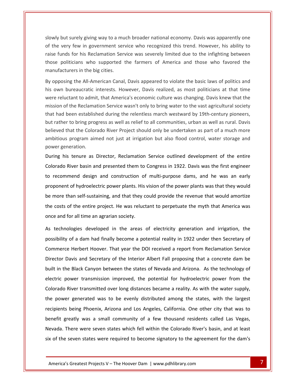but surely giving way to <sup>a</sup> much broader national economy. Davis was apparently one the very few in government service who recognized this trend. However, his ability to the very few in government service who recognized this trend. However, his ability to Funds for his Reclamation Service was severely limited due to the infighting between<br>Funds for his Reclamation Service was severely limited due to the infighting between but surely giving way to a much broader national economy. Davis was apparently one<br>very few in government service who recognized this trend. However, his ability to<br>unds for his Reclamation Service was severely limited due slowly but surely giving way to a much broader national economy. Davis was apparently one multipulary giving way to a much broader national economy. Davis was apparently one<br>the very few in government service who recognized this trend. However, his ability to<br>se funds for his Reclamation Service was severely li of the very few in government service who recognized this trend. However, his ability to he very few in government service who recognized this trend. However, his ability to<br>e funds for his Reclamation Service was severely limited due to the infighting between<br>se politicians who supported the farmers of Americ raise funds for his Reclamation Service was severely limited due to the infighting between reluctant to admit, that America's economic culture was changing. Davis and those who favored the facturers in the big cities.<br>
posing the All-American Canal, Davis appeared to violate the basic laws of politics and<br>
wh bu those politicians who supported the farmers of America and those who favored the manufacturers in the big cities.

raise

oliticians who supported the farmers of America and those who favored the<br>turers in the big cities.<br>sing the All-American Canal, Davis appeared to violate the basic laws of politics and<br>bureaucratic interests. However, Dav manutacturers in the big cities.<br>By opposing the All-American Canal, Davis appeared to violate the basic laws of politics and<br>his own bureaucratic interests. However, Davis realized, as most politicians at that time<br>were r ppposing the All-American Canal, Davis appeared to violate the basic laws of politics and<br>own bureaucratic interests. However, Davis realized, as most politicians at that time<br>e reluctant to admit, that America's economic his own bureaucratic interests. However, Davis realized, as most politicians at that time<br>were reluctant to admit, that America's economic culture was changing. Davis knew that the<br>mission of the Reclamation Service wasn't were reluctant to admit, that America's economic culture was changing. Davis knew that the tant to admit, that America's economic culture was changing. Davis knew that the<br>the Reclamation Service wasn't only to bring water to the vast agricultural society<br>een established during the relentless march westward by 1 mission of the Reclama<br>that had been establisl<br>but rather to bring pro<sub>i</sub><br>believed that the Color<br>ambitious program ain<br>power generation. d been established during the relentless march westward by 19th-century pioneers,<br>her to bring progress as well as relief to all communities, urban as well as rural. Davis<br>d that the Colorado River Project should only be u but rather to bring progress as well as relief to all communities, urban as well as rural. Davis The bring progress as well as relief to all communities, urban as well as rural. Davis<br>
hat the Colorado River Project should only be undertaken as part of a much more<br>
program aimed not just at irrigation but also flood c topower generation.

bitious program aimed not just at irrigation but also flood control, water storage and<br>ver generation.<br>ing his tenure as Director, Reclamation Service outlined development of the entire<br>orado River basin and presented them expression.<br>
tenure as Director, Reclamation Service outlined development of the entire<br>
iver basin and presented them to Congress in 1922. Davis was the first engineer<br>
hend design and construction of multi-purpose dams, bering his tenure as Director, Reclamation Service outlined development of the entire<br>orado River basin and presented them to Congress in 1922. Davis was the first engineer<br>recommend design and construction of multi-purpose Colorado River basin and presented them to Congress in 1922. Davis was the first engineer orado River basin and presented them to Congress in 1922. Davis was the first engineer<br>recommend design and construction of multi-purpose dams, and he was an early<br>ponent of hydroelectric power plants. His vision of the po to recommend design and construction of multi-purpose dams, and he was an early to recommend design and construction of<br>proponent of hydroelectric power plants. His<br>be more than self-sustaining, and that they c<br>the costs of the entire project. He was reluc<br>once and for all time an agrarian society. oonent of hydroelectric power plants. His vision of the power plants was that they would<br>nore than self-sustaining, and that they could provide the revenue that would amortize<br>costs of the entire project. He was reluctant be more than self-sustaining, and that they could provide the revenue that would amortize nan self-sustaining, and that they could provide the revenue that would amortize<br>of the entire project. He was reluctant to perpetuate the myth that America was<br>or all time an agrarian society.<br>logies developed in the area the costs <mark>c</mark> once and for all time an agrarian society.

Nevada. There were seven states which fell within the Colorado River's basin, and at least Beatly was a small community of a few thousand residents called Las Vegas,<br>here were seven states which fell within the Colorado River's basin, and at least<br>even states were required to become signatory to the agreement fo Fithe entire project. He was reluctant to perpetuate the myth that America was<br>
r all time an agrarian society.<br>
ogies developed in the areas of electricity generation and irrigation, the<br>
of a dam had finally become a pot for all time an agrarian society.<br>
Nologies developed in the areas of electricity generation and irrigation, the<br>
p of a dam had finally become a potential reality in 1922 under then Secretary of<br>
ce Herbert Hoover. That y As technologies developed in the areas of electricity generation and irrigation, the<br>possibility of a dam had finally become a potential reality in 1922 under then Secretary of<br>Commerce Herbert Hoover. That year the DOI re possibility of a dam had finally become a potential reality in 1922 under then Secretary of portion of a dam had finally become a potential reality in 1922 under then Secretary of<br>
ce Herbert Hoover. That year the DOI received a report from Reclamation Service<br>
Davis and Secretary of the Interior Albert Fall prop Commerce Herbert Hoover. That year the DOI received a report from Reclamation Service Commerce Herbert Hoover. That year the DOI received a report from Reclamation Service<br>Director Davis and Secretary of the Interior Albert Fall proposing that a concrete dam be<br>built in the Black Canyon between the states o portion Davis and Secretary of the Interior Albert Fall proposing that a concrete dam be<br>in the Black Canyon between the states of Nevada and Arizona. As the technology of<br>tric power transmission improved, the potential fo built in the Black Canyon between the states of Nevada and Arizona. As the technology of Black Canyon between the states of Nevada and Arizona. As the technology of<br>
being transmission improved, the potential for hydroelectric power from the<br>
liver transmitted over long distances became a reality. As with the electric power transmission improved, the potential for hydroelectric power from the<br>Colorado River transmitted over long distances became a reality. As with the water supply,<br>the power generated was to be evenly distribut River transmitted over long distances became a reality. As with the water supply,<br>er generated was to be evenly distributed among the states, with the largest<br>s being Phoenix, Arizona and Los Angeles, California. One other the power generated was to be evenly distributed among the states, with the largest power generated was to be evenly distributed among the states, with the largest<br>ipients being Phoenix, Arizona and Los Angeles, California. One other city that was to<br>nefit greatly was a small community of a few thousand r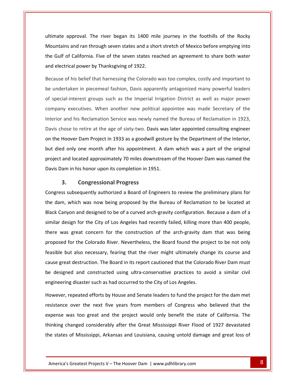approval. The river began its 1400 mile journey in the foothills of the Rocky and ran through seven states and a short stretch of Mexico before emptying into<br>and ran through seven states and a short stretch of Mexico before emptying into nate approval. The river began its 1400 mile journey in the foothills of the Rocky<br>untains and ran through seven states and a short stretch of Mexico before emptying into<br>Gulf of California. Five of the seven states reache ultimate approval. The river began its 1400 mi<br>Mountains and ran through seven states and a shot<br>the Gulf of California. Five of the seven states re<br>and electrical power by Thanksgiving of 1922. approval. The river began its 1400 mile journey in the foothills of the Rocky<br>ns and ran through seven states and a short stretch of Mexico before emptying into<br>of California. Five of the seven states reached an agreement Mountains and ran through seven states and a short stretch of Mexico before emptying into untains and ran through seven states and a short stretch of Mexico before emptying into<br>Gulf of California. Five of the seven states reached an agreement to share both water<br>delectrical power by Thanksgiving of 1922.<br>cause the Gulf of California. Five of the seven states reached an agreement to share both water and electrical power by Thanksgiving of 1922.

Sulf of California. Five of the seven states reached an agreement to share both water<br>of electrical power by Thanksgiving of 1922.<br>cause of his belief that harnessing the Colorado was too complex, costly and important to<br>u ical power by Thanksgiving of 1922.<br>
f his belief that harnessing the Colorado was too complex, costly and important to<br>
aken in piecemeal fashion, Davis apparently antagonized many powerful leaders<br>
-interest groups such Because of his belief that harnessing the Colorado was too complex, costly and important to Because of his belief that harnessing the Colorado was too complex, costly and important to<br>be undertaken in piecemeal fashion, Davis apparently antagonized many powerful leaders<br>of special-interest groups such as the Impe dertaken in piecemeal fashion, Davis apparently antagonized many powerful leaders<br>ecial-interest groups such as the Imperial Irrigation District as well as major power<br>any executives. When another new political appointee w of special-interest groups such as the Imperial Irrigation District as well as major power of special-interest groups such as the Imperial Irrigation District as well as major power<br>company executives. When another new political appointee was made Secretary of the<br>Interior and his Reclamation Service was newly n pany executives. When another new political appointee was made Secretary of the<br>rior and his Reclamation Service was newly named the Bureau of Reclamation in 1923,<br>s chose to retire at the age of sixty-two. Davis was later Interior and his Reclamation Service was newly named the Bureau of Reclamation in 1923, and his Reclamation Service was newly named the Bureau of Reclamation in 1923,<br>hose to retire at the age of sixty-two. Davis was later appointed consulting engineer<br>Hoover Dam Project in 1933 as a goodwill gesture by the D Davis chose to retire at the age of sixty-two. Davis was later appointed consulting engineer chose to retire at the age of sixty-two. Davis was left<br>Hoover Dam Project in 1933 as a goodwill gesture<br>ied only one month after his appointment. A dar<br>tt and located approximately 70 miles downstream<br>Dam in his honor upo **Compare the time age of staty two: Bavis**<br>
Dam Project in 1933 as a goodwill g<br>
one month after his appointment.<br>
ated approximately 70 miles downs<br>
is honor upon its completion in 195.<br> **Congressional Progress** but died only one month after his appointment. A dam which was a part of the original only one month after his appointment. A dam which was a part of the original<br>id located approximately 70 miles downstream of the Hoover Dam was named the<br>in his honor upon its completion in 1951.<br>**Congressional Progress**<br>s pro Davis Dam in his honor upon its completion in 1951.

the

ect and located approximately 70 miles downstream of the Hoover Dam was named the<br>
s Dam in his honor upon its completion in 1951.<br>
3. Congressional Progress<br>
gress subsequently authorized a Board of Engineers to review th Dam in his honor upon its completion in 1951.<br> **3.** Congressional Progress<br>
ess subsequently authorized a Board of Engineers to review the preliminary plans for<br>
am, which was now being proposed by the Bureau of Reclamatio **3.** Congressional Progress<br>Congress subsequently authorized a Board of Engineers to review the preliminary plans for<br>the dam, which was now being proposed by the Bureau of Reclamation to be located at<br>Black Canyon and des ess subsequently authorized a Board of Engineers to review the preliminary plans for<br>m, which was now being proposed by the Bureau of Reclamation to be located at<br>Canyon and designed to be of a curved arch-gravity configur the dam, which was now being proposed by the Bureau of Reclamation to be located at which was now being proposed by the Bureau of Reclamation to be located at<br>yon and designed to be of a curved arch-gravity configuration. Because a dam of a<br>sign for the City of Los Angeles had recently failed, killing mor elack Ca hyon and designed to be of a curved arch-gravity configuration. Because a dam of a<br>esign for the City of Los Angeles had recently failed, killing more than 400 people,<br>as great concern for the construction of the arch-grav similar design for the City of Los Angeles had recently failed, killing more than 400 people, r design for the City of Los Angeles had recently failed, killing more than 400 people,<br>was great concern for the construction of the arch-gravity dam that was being<br>sed for the Colorado River. Nevertheless, the Board foun there was great concern for the construction of the arch-gravity dam that was being re was great concern for the construction of the arch-gravity dam that was being<br>posed for the Colorado River. Nevertheless, the Board found the project to be not only<br>sible but also necessary, fearing that the river might proposed for the Colorado River. Nevertheless, the Board found the project to be not only proposed for the Colorado River. Nevertheless, the Board found the profeasible but also necessary, fearing that the river might ultimately changeles.<br>Cause great destruction. The Board in its report cautioned that the Colo It also necessary, fearing that the river might ultimately change its course and<br>it destruction. The Board in its report cautioned that the Colorado River Dam must<br>ed and constructed using ultra-conservative practices to a cause great destruction. The Board in its report cautioned that the Colorado River Dam must cheat in the Board in its report cautioned that the Colorado River Dam must<br>d and constructed using ultra-conservative practices to avoid a similar civil<br>g disaster such as had occurred to the City of Los Angeles.<br>epeated be designed and constructed using ultra-conservative practices to avoid a similar civil engineering disaster such as had occurred to the City of Los Angeles.

thinking changed considerably after the Great Mississippi River Flood of 1927 devastated as too great and the project would only benefit the state of California. The<br>anged considerably after the Great Mississippi River Flood of 1927 devastated<br>of Mississippi, Arkansas and Louisiana, causing untold damage and g ned and constructed using ultra-conservative practices to avoid a similar civil<br>ng disaster such as had occurred to the City of Los Angeles.<br>repeated efforts by House and Senate leaders to fund the project for the dam met<br> ing disaster such as had occurred to the City of Los Angeles.<br>
changed efforts by House and Senate leaders to fund the project for the dam met<br>
e over the next five years from members of Congress who believed that the<br>
was However, repeated efforts by House and Senate leaders to fund the project for the dam met<br>resistance over the next five years from members of Congress who believed that the<br>expense was too great and the project would only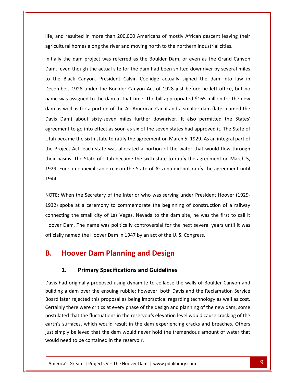and resulted in more than 200.000 Americans of mostly African descent leaving their homes along the river and moving north to the northern industrial cities.<br>
Homes along the river and moving north to the northern industrial cities. the dam provided in more than 200,000 Americans of mostly African descent leaving their<br>the dam project was referred as the Boulder Dam, or even as the Grand Canyon id resulted in more than 200,000 Americans of mostly African descent leaving their<br>tural homes along the river and moving north to the northern industrial cities.<br>y the dam project was referred as the Boulder Dam, or even lif agricultural homes along the river and moving north to the northern industrial cities.

the Black Canyon. President Calvin Coolidge actually signed the dam into law in the Black Canyon.<br>
The Black Canyon. President Calvin Coolidge actually signed the dam into law in homes along the river and moving north to the northern industrial cities.<br>
dam project was referred as the Boulder Dam, or even as the Grand Canyon<br>
though the actual site for the dam had been shifted downriver by several Initially the dam project was referred as the Boulder Dam, or even as the Grand Canyon we the dam project was referred as the Boulder Dam, or even as the Grand Canyon<br>
even though the actual site for the dam had been shifted downriver by several miles<br>
Palack Canyon. President Calvin Coolidge actually signed Dam, even though the actual site for the dam had been shifted downriver by several miles even though the actual site for the dam had been shifted downriver by several miles<br>he Black Canyon. President Calvin Coolidge actually signed the dam into law in<br>mber, 1928 under the Boulder Canyon Act of 1928 just before to the Black Canyon. President Calvin Coolidge actually signed the dam into law in to the Black Canyon. President Calvin Coolidge actually signed the dam into law in<br>December, 1928 under the Boulder Canyon Act of 1928 just before he left office, but no<br>name was assigned to the dam at that time. The bill 1928 under the Boulder Canyon Act of 1928 just before he left office, but no<br>assigned to the dam at that time. The bill appropriated \$165 million for the new<br>l as for a portion of the All-American Canal and a smaller dam name was assigned to the dam at that time. The bill appropriated \$165 million for the new became the sixth state to ratify the agreement on March 5, 1929. As an integral part of became the sixth state to ratify the agreement on March 5, 1929. As an integral part of became the sixth state to ratify the agreement dar<br>d represent as for a portion of the All-American Canal and a smaller dam (later named the<br>
is Dam) about sixty-seven miles further downriver. It also permitted the States'<br>
rement to go into effect as soon as six of the seve Davis Dam) about sixty-seven miles further downriver. It also permitted the States' Davis Dam) about sixty-seven miles further downriver. It also permitted the States'<br>agreement to go into effect as soon as six of the seven states had approved it. The State of<br>Utah became the sixth state to ratify the agr ment to go into effect as soon as six of the seven states had approved it. The State of<br>pecame the sixth state to ratify the agreement on March 5, 1929. As an integral part of<br>oject Act, each state was allocated a portion Utah became the sixth state to ratify the agreement on March 5, 1929. As an integral part of Internalism. The State of Utah became the sixth state to ratify the agreement on March 5,<br>1929. For some inexplicable reason the State of Arizona did not ratify the agreement until<br>1944.<br>NOTE: When the Secretary of the Int spiral the state of standard and state of Arizona did not ratify the agreement until<br>For some inexplicable reason the State of Arizona did not ratify the agreement until<br>When the Secretary of the Interior who was serving u 1929. For some inexplicable reason the State of Arizona did not ratify the agreement until Hoover

the small city of the Interior who was serving under President Hoover (1929-<br>The Secretary of the Interior who was serving under President Hoover (1929-<br>The small city of Las Vegas. Nevada to the dam site, he was the first Vhen the Secretary of the Interior who was serving under President Hoover (1929-<br>Doke at a ceremony to commemorate the beginning of construction of a railway<br>ing the small city of Las Vegas, Nevada to the dam site, he was NOTE: When the Secretary of the Interior who was serving under President Hoover (1929-NOTE: When the Secretary of the Interior who was serving under President<br>1932) spoke at a ceremony to commemorate the beginning of constructi<br>connecting the small city of Las Vegas, Nevada to the dam site, he was th<br>Hoover When the Secretary of the Interior who was serving under Presic<br>poke at a ceremony to commemorate the beginning of constr<br>ting the small city of Las Vegas, Nevada to the dam site, he wa<br>Dam. The name was politically contro Hoover Dam. The name was politically controversial for the next several years until it was Fhe name was politically controversial for the next s<br>
d the Hoover Dam in 1947 by an act of the U.S. Congi<br> **Primary Specifications and Guidelines** 

### **Hoover Dam Planning and Design<br>
1. Primary Specifications and Guidelines**<br>
had originally proposed using dynamite to collapse the walls of Boulder Canyon and **B.** Hoover Dam Planning and Design  $\blacksquare$

### postulated

earth's surfaces, which would result in the dam experiencing cracks and breaches. Others that the fluctuations in the reservoir's elevation level would cause cracking of the<br>faces, which would result in the dam experiencing cracks and breaches. Others<br>believed that the dam would never hold the tremendous amou **Frimary Specifications and Design<br>
Specifications and Guidelines<br>
A dam over the ensuing rubble: however, both Davis and the Reclamation Service** 1. Primary Specifications and Guidelines<br>Davis had originally proposed using dynamite to collapse the walls of Boulder Canyon and<br>building a dam over the ensuing rubble; however, both Davis and the Reclamation Service<br>Boar **Primary Specifications and Guidelines**<br>I originally proposed using dynamite to collapse the walls of Boulder Canyon and<br>at dam over the ensuing rubble; however, both Davis and the Reclamation Service<br>er rejected this prop Triniary specifications and duidenties<br>
originally proposed using dynamite to collapse the walls of Boulder Canyon and<br>
dam over the ensuing rubble; however, both Davis and the Reclamation Service<br>
rejected this proposal a Davis had originally proposed using dynamite to collapse the walls of Boulder Canyon and<br>building a dam over the ensuing rubble; however, both Davis and the Reclamation Service<br>Board later rejected this proposal as being i building a dam over the ensuing rubble; however, both Davis and the Reclamation Service ding a dam over the ensuing rubble; however, both Davis and the Reclamation Service<br>d later rejected this proposal as being impractical regarding technology as well as cost.<br>ainly there were critics at every phase of the d Board later rejected this proposal as being in<br>Certainly there were critics at every phase of<br>postulated that the fluctuations in the reserv<br>earth's surfaces, which would result in the<br>just simply believed that the dam wou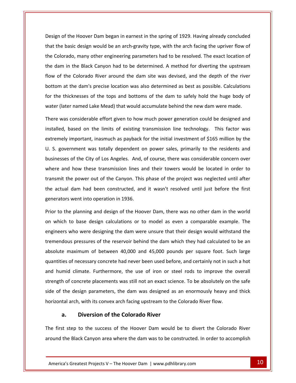of the Hoover Dam began in earnest in the spring of 1929. Having already concluded and of the Hoover Dam began in earnest in the spring of 1929. Having already concluded<br>the basic design would be an arch-gravity type, with the arch facing the upriver flow of ign of the Hoover Dam began in earnest in the spring of 1929. Having already concluded<br>
The basic design would be an arch-gravity type, with the arch facing the upriver flow of<br>
Colorado, many other engineering parameters gn of the Hoover Dam began in earnest in the spring of 1929. Having already concluded<br>the basic design would be an arch-gravity type, with the arch facing the upriver flow of<br>Colorado, many other engineering parameters had Design of the Hoover Dam began in earnest in the spring of 1929. Having already concluded In of the Hoover Dam began in earnest in the spring of 1929. Having already concluded<br>the basic design would be an arch-gravity type, with the arch facing the upriver flow of<br>olorado, many other engineering parameters had that the basic design would be an arch-gravity type, with the arch facing the upriver flow of<br>the Colorado, many other engineering parameters had to be resolved. The exact location of<br>the dam in the Black Canyon had to be the Colorado, many other engineering parameters had to be resolved. The exact location of Colorado, many other engineering parameters had to be resolved. The exact location of<br>dam in the Black Canyon had to be determined. A method for diverting the upstream<br> $\alpha$  of the Colorado River around the dam site was de the dam in the Black Canyon had to be determined. A method for diverting the upstream<br>flow of the Colorado River around the dam site was devised, and the depth of the river<br>bottom at the dam's precise location was also det f the Colorado River around the dam site was devised, and the depth of the river<br>
in at the dam's precise location was also determined as best as possible. Calculations<br>
a thicknesses of the tops and bottoms of the dam to bottom at the dam's precise location was also determined as best as possible. Calculations the dam's precise location was also determined as best as possible. Calculations<br>icknesses of the tops and bottoms of the dam to safely hold the huge body of<br>er named Lake Mead) that would accumulate behind the new dam wer for the thicknesses of the tops and bottoms of the dam to safely hold the huge body of water (later named Lake Mead) that would accumulate behind the new dam were made.

the

cknesses of the tops and bottoms of the dam to safely hold the huge body of<br>
r named Lake Mead) that would accumulate behind the new dam were made.<br>
considerable effort given to how much power generation could be designed ter (later named Lake Mead) that would accumulate behind the new dam were made.<br>
Fre was considerable effort given to how much power generation could be designed and<br>
talled, based on the limits of existing transmission li There was considerable effort given to how much power generation could be designed and considerable effort given to how much power generation could be designed and<br>ased on the limits of existing transmission line technology. This factor was<br>mportant, inasmuch as payback for the initial investment of \$165 mil installed, based on the limits of existing transmission line technology. This factor was d, based on the limits of existing transmission line technology. This factor was<br>ely important, inasmuch as payback for the initial investment of \$165 million by the<br>overnment was totally dependent on power sales, primaril extremely important, inasmuch as payback for the initial investment of \$165 million by the y important, inasmuch as payback for the initial investment of \$165 million by the<br>vernment was totally dependent on power sales, primarily to the residents and<br>es of the City of Los Angeles. And, of course, there was cons U. S. government was totally dependent on power sales, primarily to the residents and<br>businesses of the City of Los Angeles. And, of course, there was considerable concern over<br>where and how these transmission lines and th businesses of the City of Los Angeles. And,<br>where and how these transmission lines a<br>transmit the power out of the Canyon. This<br>the actual dam had been constructed, and<br>generators went into operation in 1936. e and how these transmission lines and their towers would be located in order to<br>mit the power out of the Canyon. This phase of the project was neglected until after<br>ctual dam had been constructed, and it wasn't resolved u transmit the power out of the Canyon. This phase of the project was neglected until after ismit the power out of the Canyon. This phase of the project was neglected until after<br>actual dam had been constructed, and it wasn't resolved until just before the first<br>erators went into operation in 1936.<br>In to the plan the actual dam had been constructed, and it wasn't resolved until just before the first generators went into operation in 1936.

dam had been constructed, and it wasn't resolved until just before the first<br>swent into operation in 1936.<br>e planning and design of the Hoover Dam, there was no other dam in the world<br>to base design calculations or to mode planning and design of the Hoover Dam, there was no other dam in the world<br>base design calculations or to model as even a comparable example. The<br>no were designing the dam were unsure that their design would withstand the<br> Prior to the planning and design of the Hoover Dam, there was no other dam in the world maximum of between 40,000 and 45,000 pounds per square foot. Such large maximum of between 40,000 and 45,000 pounds per square foot. Such large on which to base design calculations or to model as even a comparable example. The<br>engineers who were designing the dam were unsure that their design would withstand the<br>tremendous pressures of the reservoir behind the dam engineers who were designing the dam were unsure that their design would withstand the<br>tremendous pressures of the reservoir behind the dam which they had calculated to be an<br>absolute maximum of between 40,000 and 45,000 p tremendous pressures of the reservoir behind the dam which they had calculated to be an ous pressures of the reservoir behind the dam which they had calculated to be an maximum of between 40,000 and 45,000 pounds per square foot. Such large sof necessary concrete had never been used before, and certainly not absolute maximum of between 40,000 and 45,000 pounds per square foot. Such large lute maximum of between 40,000 and 45,000 pounds per square foot. Such large<br>tities of necessary concrete had never been used before, and certainly not in such a hot<br>humid climate. Furthermore, the use of iron or steel rod quantities of necessary concrete had never been used before, and certainly not in such a hot ies of necessary concrete had never been used before, and certainly not in sumid climate. Furthermore, the use of iron or steel rods to improve the h of concrete placements was still not an exact science. To be absolutely mate. Furthermore, the use of iron or stends of the use of iron or stends the local series are the correct placements was still not an exact scienting sign parameters, the dam was designed as the with its convex arch facin of the design parameters, the dam was designed as an enormously heavy and thick<br>contal arch, with its convex arch facing upstream to the Colorado River flow.<br>**a.** Diversion of the Colorado River<br>first step to the success o

The first step to the success of the Hoover Dam would be to divert the Colorado River **Diversion of the Colorado River**<br>tep to the success of the Hoover Dam would be to divert the Colorado River<br>Black Canyon area where the dam was to be constructed. In order to accomplish<br>Greatest Projects V – The Hoover D Aborizontal arch, with its convex arch facing upstream to the Colorado River flow.<br> **a.** Diversion of the Colorado River<br>
The first step to the success of the Hoover Dam would be to divert the Colorado River<br>
around the Bl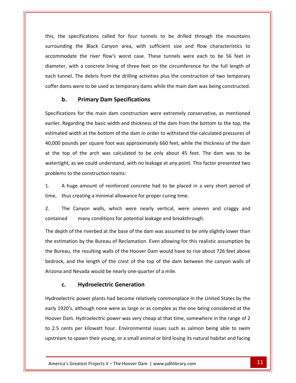the specifications called for four tunnels to be drilled through the mountains The Black Canyon area, with sufficient size and flow characteristics to tications called for four tunnels to be drilled through the mountains<br>in Black Canyon area, with sufficient size and flow characteristics to<br>the river flow's worst case. These tunnels were each to be 56 feet in specifications called for four tunnels to be drilled through the mountains<br>ug the Black Canyon area, with sufficient size and flow characteristics to<br>late the river flow's worst case. These tunnels were each to be 56 feet this, the specifications called for four tunnels to be drilled through the mountains<br>surrounding the Black Canyon area, with sufficient size and flow characteristics to<br>accommodate the river flow's worst case. These tunnel surrounding the Black Canyon area, with sufficient size and flow characteristics to accommodate the river flow's worst case. These tunnels were each to be 56 feet in diameter, with a concrete lining of three feet on the circumference for the full length of each tunnel. The debris from the drilling activit **Primary Dam Section**<br>**Primary Dam Section Primary Dam Section**<br>**Primary Dam Specifications** For the debris from the drilling activities plus the construction of two temporary<br>
For the used as temporary dams while the main dam was being constructed.<br> **Primary Dam Specifications**<br>
For the main dam construction were

accommodate and a control of the control of the control of the control of the control of the control of the co<br>The control of the control of the control of the control of the control of the control of the control of the c

The basic width and thickness of the dam from the bottom to the top.<br>
Regarding the basic width and thickness of the dam from the bottom to the top, the<br>
Regarding the basic width and thickness of the dam from the bottom t **Primary Dam Specifications**<br>ons for the main dam construction were extremely conservative, as mentioned<br>garding the basic width and thickness of the dam from the bottom to the top, the<br>width at the bottom of the dam in or **pounds for the main dam construction were extremely conservative, as mentioned**<br>Regarding the basic width and thickness of the dam from the bottom to the top, the<br>ed width at the bottom of the dam in order to withstand th Specifications for the main dam construction were extremely conservative, as mentioned ecifications for the main dam construction were extremely conservative, as mentioned<br>lier. Regarding the basic width and thickness of the dam from the bottom to the top, the<br>imated width at the bottom of the dam in order t earlier, Reg arding the basic width and thickness of the dam from the bottom to the top, the<br>vidth at the bottom of the dam in order to withstand the calculated pressures of<br>nds per square foot was approximately 660 feet, while the thi estimated width at the bottom of the dam in order to withstand the calculated pressures of width at the bottom of the dar<br>unds per square foot was appro<br>p of the arch was calculated<br>t, as we could understand, with<br>to the construction teams: 1.by pounds per square foot was approximately 660 feet, while the thickness of the dam<br>top of the arch was calculated to be only about 45 feet. The dam was to be<br>ight, as we could understand, with no leakage at any point. Th at the top of the arch was calculated to be only about 45 feet. The dam was to be at the top of the arch was calculated to be only about 45 feet<br>watertight, as we could understand, with no leakage at any point. Th<br>problems to the construction teams:<br>1. A huge amount of reinforced concrete had to be plac problems to the construction teams:

The Canyon walls, which were nearly exercise that the canyon walls, which were nearly vertical, were uneven and craggy and many conditions for the construction teams.<br>
1. A huge amount of reinforced concrete had to be placed in a very<br>
1. The canyon walls, which were nearly vertical, were uneven a<br>
1. The Canyon walls, which were nearly vertic time, thus creating a minimal allowance for proper curing time.

depth of the riverbed at the base of the dam was assumed to be only slightly lower than<br>depth of the riverbed at the base of the dam was assumed to be only slightly lower than The Canyon walls, which were nearly vertical, were uneven and craggy and<br>tained many conditions for potential leakage and breakthrough.<br>depth of the riverbed at the base of the dam was assumed to be only slightly lower tha  $2<sub>1</sub>$ contained

The Canyon walls, which were nearly vertical, were uneven and craggy and<br>
tained many conditions for potential leakage and breakthrough.<br>
depth of the riverbed at the base of the dam was assumed to be only slightly lower t I many conditions for potential leakage and breakthrough.<br>
I of the riverbed at the base of the dam was assumed to be only slightly lower than<br>
ation by the Bureau of Reclamation. Even allowing for this realistic assumptio The depth of the riverbed at the base of the dam was assumed the estimation by the Bureau of Reclamation. Even allowing for the Bureau, the resulting walls of the Hoover Dam would have bedrock, and the length of the crest by the Bureau of Reclamation. Even allo<br>e resulting walls of the Hoover Dam woul<br>the length of the crest of the top of the<br>evada would be nearly one-quarter of a m<br>**Hydroelectric Generation** Hydroelectricthe length of the crest of the top of the dam between the canyon walls of<br>evada would be nearly one-quarter of a mile.<br>**Hydroelectric Generation**<br>power plants had become relatively commonplace in the United States by the

to 2.5 cents per kilowatt hour. Environmental issues such as salmon being able to swim Greatest Projects V – The Hoover Dam | www.pdhlibrary.com 1920's, although none were as large or as complex as the one being considered at the<br>
1920's, although none were as large or as complex as the one being considered at the **Exam. Hydroelectric Generation**<br>
Sectric power plants had become relatively commonplace in the United States by the<br>
20's, although none were as large or as complex as the one being considered at the<br>
Dam. Hydroelectric p **C.** Hydroelectric Generation<br>
droelectric power plants had become relatively commonplace in the United States by the<br>
ly 1920's, although none were as large or as complex as the one being considered at the<br>
over Dam. Hydr Hydroelectric power plants had become relatively commonplace in the United States by the early 1920's, although none were as large or as complex as the one being considered at the<br>Hoover Dam. Hydroelectric power was very cheap at that time, somewhere in the range of 2<br>to 2.5 cents per kilowatt hour. Environmen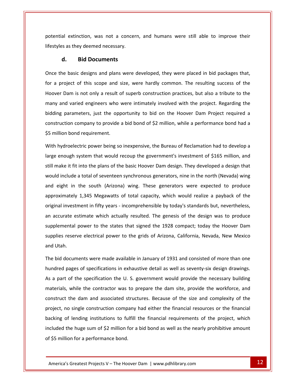extinction, was not a concern, and humans were still able to improve their and extinction, was not a concerned a series as they deemed necessary. **Bid** Documents<br>**Bid Documents**<br>**Bid Documents** potential extinction, was not a concern, and humans were still able to improve their<br>
lifestyles as they deemed necessary.<br> **d.** Bid Documents<br>
Once the basic designs and plans were developed, they were placed in bid packa Hoover

d. Bid Documents<br>
e the basic designs and plans were developed, they were placed in bid packages that,<br>
a project of this scope and size, were hardly common. The resulting success of the **Bid Documents**<br>
Explore the basic designs and plans were developed, they were placed in bid packages that,<br>
Dam is not only a result of superb construction practices, but also a tribute to the **a.** Bid Documents<br>the basic designs and plans were developed, they were placed in bid packages that,<br>project of this scope and size, were hardly common. The resulting success of the<br>r Dam is not only a result of superb co Once the basic designs and plans were developed, they were placed in bid packages that, parameters, just the opportunity to bid on the Hoover Dam Project required a parameters, just the opportunity to bid on the Hoover Dam Project required a for a project of this scope and size, were hardly common. The resulting success of the of this scope and size, were hardly common. The resulting success of the<br>is not only a result of superb construction practices, but also a tribute to the<br>ried engineers who were intimately involved with the project. Regard Hoover Dam is not only a result of<br>many and varied engineers who<br>bidding parameters, just the opp<br>construction company to provide<br>\$5 million bond requirement. and varied engineers who were intimately involved with the project. Regarding the<br>ng parameters, just the opportunity to bid on the Hoover Dam Project required a<br>ruction company to provide a bid bond of \$2 million, while a bidding parameters, just the opportunity to bid on the Hoover Dam Project required a ig parameters, just the opportunity to bid on the Hoover Dam Project required a<br>
ruction company to provide a bid bond of \$2 million, while a performance bond had a<br>
llion bond requirement.<br>
hydroelectric power being so in construction company to provide a bid bond of \$2 million, while a performance bond had a \$5 million bond requirement.

struction company to provide a bid bond of \$2 million, while a performance bond had a<br>nillion bond requirement.<br>n hydroelectric power being so inexpensive, the Bureau of Reclamation had to develop a<br>e enough system that wo ion bond requirement.<br>ydroelectric power being so inexpensive, the Bureau of Reclamation had to develop a<br>nough system that would recoup the government's investment of \$165 million, and<br>ke it fit into the plans of the basi wit<br>Wit hydroelectric power being so inexpensive, the Bureau of Reclamation had to develop a<br>enough system that would recoup the government's investment of \$165 million, and<br>nake it fit into the plans of the basic Hoover Dam desig large enough system that would recoup the government's investment of \$165 million, and Stem that would recoup the government's investment of \$165 million, and<br>
it to the plans of the basic Hoover Dam design. They developed a design that<br>
it total of seventeen synchronous generators, nine in the north (Nevada still make it fit into the plans of the basic Hoover Dam design. They developed a design that still make it fit into the plans of the basic Hoover Dam design. They developed a design that<br>would include a total of seventeen synchronous generators, nine in the north (Nevada) wing<br>and eight in the south (Arizona) wing accurate estimate which actually resulted. The generators, nine in the north (Nevada) wing<br>
I eight in the south (Arizona) wing. These generators were expected to produce<br>
proximately 1,345 Megawatts of total capacity, whi  $\mathsf{and}$  aight in the south (Arizona) wing. These generators were expected to produce<br>1,345 Megawatts of total capacity, which would realize a payback of the<br>ment in fifty years - incomprehensible by today's standards but, nevertheless,<br>sti approximately 1,345 Megawatts of total capacity, which would realize a payback of the reserve electrical power to the grids of Arizona. California. Nevada, New Mexico<br>
reserve electrical power to the states that signed the 1928 compact; today the Hoover Dam<br>
reserve electrical power to the grids of Arizona. original invest<br>an accurate e<br>supplemental<br>supplies reser<br>and Utah. iccurate estimate which actually resulted. The genesis of the design was to produce<br>blemental power to the states that signed the 1928 compact; today the Hoover Dam<br>blies reserve electrical power to the grids of Arizona, C supplemental power to the states that signed the 1928 compact; today the Hoover Dam supplemental power to the states that signed the 1928 compact; today the Hoover Dam<br>supplies reserve electrical power to the grids of Arizona, California, Nevada, New Mexico<br>and Utah.<br>The bid documents were made available and Utah.

included the huge sum of \$2 million for a bid bond as well as the nearly prohibitive amount Inding institutions to fulfill the financial requirements of the project, which<br>he huge sum of \$2 million for a bid bond as well as the nearly prohibitive amount<br>in for a performance bond.<br>Greatest Projects V – The Hoover plies reserve electrical power to the grids of Arizona, California, Nevada, New Mexico<br>d Utah.<br>e bid documents were made available in January of 1931 and consisted of more than one<br>ndred pages of specifications in exhausti cuments were made available in January of 1931 and consisted of more than one<br>ages of specifications in exhaustive detail as well as seventy-six design drawings.<br>of the specification the U. S. government would provide the The bid documents were made available in January of 1931 and consisted of more than one ordination were made available in January of 1931 and consisted of more than one<br>ages of specifications in exhaustive detail as well as seventy-six design drawings.<br>of the specification the U.S. government would provide th hundred pages of specifications in exhaustive detail as well as seventy-six design drawings.<br>As a part of the specification the U. S. government would provide the necessary building<br>materials, while the contractor was to p As a part of the specification the U. S. government would provide the necessary building t of the specification the U. S. government would provide the necessary building<br>s, while the contractor was to prepare the dam site, provide the workforce, and<br>t the dam and associated structures. Because of the size and materials, while the contractor was to prepare the dam site, provide the workforce, and the dam and associated structures. Because of the size and complexity of the single construction company had either the financial resources or the financial<br>of lending institutions to fulfill the financial requirements of construct the dam and associated structures. Because of the size and complexity of the mstruct the dam and associated strupliect, no single construction compant<br>cking of lending institutions to fulfil<br>cluded the huge sum of \$2 million for<br>\$5 million for a performance bond.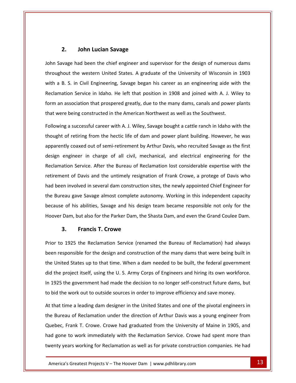# **John Lucian Savage**  $2.$

**Savage had been the chief engineer and supervisor for the design of numerous dams**<br>Savage had been the chief engineer and supervisor for the design of numerous dams **John Lucian Savage**<br>had been the chief engineer and supervisor for the design of numerous dams<br>the western United States. A graduate of the University of Wisconsin in 1903 **2.** John Lucian Savage<br>Savage had been the chief engineer and supervisor for the design of numerous dams<br>ghout the western United States. A graduate of the University of Wisconsin in 1903<br>a B. S. in Civil Engineering. Sav Som Lucian Savage<br>
had been the chief engineer and supervisor for the design of numerous dams<br>
he western United States. A graduate of the University of Wisconsin in 1903<br>
n Civil Engineering, Savage began his career as an John Savage had been the chief engineer and supervisor for the design of numerous dams Savage had been the chief engineer and supervisor for the design of numerous dams<br>ghout the western United States. A graduate of the University of Wisconsin in 1903<br>a B. S. in Civil Engineering, Savage began his career as throughout the western United States. A graduate of the University of Wisconsin in<br>with a B. S. in Civil Engineering, Savage began his career as an engineering aide wi<br>Reclamation Service in Idaho. He left that position in S. in Civil Engineering, Savage began his career as an engineering aide with the<br>on Service in Idaho. He left that position in 1908 and joined with A. J. Wiley to<br>ssociation that prospered greatly, due to the many dams, ca Reclamation Service in Idaho. He left that position in 1908 and joined with A. J. Wiley to tion Service in Idaho. He left that position in 1908 and joined with A. J. Wiley to<br>association that prospered greatly, due to the many dams, canals and power plants<br>e being constructed in the American Northwest as well as form an as that were being constructed in the American Northwest as well as the Southwest.

iociation that prospered greatly, due to the many dams, canals and power plants<br>eing constructed in the American Northwest as well as the Southwest.<br>successful career with A. J. Wiley, Savage bought a cattle ranch in Idaho re being constructed in the American Northwest as well as the Southwest.<br>
Ig a successful career with A. J. Wiley, Savage bought a cattle ranch in Idaho with the<br>
Intertional contribution of retiring from the hectic life o Eollowing a s uccessful career with A. J. Wiley, Savage bought a cattle ranch in Idaho with the<br>tiring from the hectic life of dam and power plant building. However, he was<br>baxed out of semi-retirement by Arthur Davis, who recruited Sav thought of retiring from the hectic life of dam and power plant building. However, he was retiring from the hectic life of dam and power plant building. However, he was<br>coaxed out of semi-retirement by Arthur Davis, who recruited Savage as the first<br>ineer in charge of all civil, mechanical, and electrical engin apparently coaxed out of semi-retirement by Arthur Davis, who recruited Savage as the first<br>design engineer in charge of all civil, mechanical, and electrical engineering for the<br>Reclamation Service. After the Bureau of Re design engineer in charge of all civil, mechanical, and electrical engineering for the<br>Reclamation Service. After the Bureau of Reclamation lost considerable expertise with the<br>retirement of Davis and the untimely resignat Reclamation Service. After the Bureau of Reclamation lost considerable expertise with the ion Service. After the Bureau of Reclamation lost considerable expertise with the<br>nt of Davis and the untimely resignation of Frank Crowe, a protege of Davis who<br>involved in several dam construction sites, the newly appoin retirement of Davis and the untimely resignation of Frank Crowe, a protege of Davis who had been involved in several dam construction sites, the newly appointed Chief Engineer for<br>the Bureau gave Savage almost complete autonomy. Working in this independent capacity<br>because of his abilities, Savage and his des **Francis Francis Francis Francis Francis <b>Francis Francis Francis Francis <b>F**. **Crowe** the of his abilities, Savage and his design team became responsible not only for the<br>
Inter Dam, but also for the Parker Dam, the Shasta Dam, and even the Grand Coulee Dam.<br> **3.** Francis T. Crowe<br>
Interview of Reclamation

Francis T. Crowe<br>
1995 the Reclamation Service (renamed the Bureau of Reclamation) had always<br>
1997 the Reclamation Service (renamed the Bureau of Reclamation) had always<br>
1998 the Reclamation Service (renamed the Bureau o 3. Francis T. Crowe<br>The States up to the Reclamation Service (renamed the Bureau of Reclamation) had always<br>The responsible for the design and construction of the many dams that were being built in<br>United States up to that 3. **Francis I. Crowe**<br>The project itself and construction of the Bureau of Reclamation) had always<br>In responsible for the design and construction of the many dams that were being built in<br>United States up to that time. Whe Prior to 1925 the Reclamation Service (renamed the Bureau of Reclamation) had always<br>been responsible for the design and construction of the many dams that were being built in<br>the United States up to that time. When a dam been responsible for the design and construction of the many dams that were being built<br>the United States up to that time. When a dam needed to be built, the federal governme<br>did the project itself, using the U. S. Army Co the project itself, using the U. S. Army Corps of Engineers and hiring its own workforce.<br>
1925 the government had made the decision to no longer self-construct future dams, but<br>
bid the work out to outside sources in orde did the project itself, using the U.S. Army Corps of Engineers and hiring its own workforce. the project itself, using the U. S. Army Corps of Engineers and hiring its own workforce.<br>
925 the government had made the decision to no longer self-construct future dams, but<br>
id the work out to outside sources in order In 1925 the government had made the decision to no longer self-construct future dams, but to bid the work out to outside sources in order to improve efficiency and save money.

Quebec, Frank T. Crowe. Crowe had graduated from the University of Maine in 1905, and I of Reclamation under the direction of Arthur Davis was a young engineer from<br>
Tank T. Crowe. Crowe had graduated from the University of Maine in 1905, and<br>
The Work immediately with the Reclamation Service. Crowe had spe he government had made the decision to no longer self-construct future dams, but<br>
E work out to outside sources in order to improve efficiency and save money.<br>
The a leading dam designer in the United States and one of the d the work out to outside sources in order to improve efficiency and save money.<br>
hat time a leading dam designer in the United States and one of the pivotal engineers in<br>
Bureau of Reclamation under the direction of Arthu At that time a leading dam designer in the United States and one of the pivotal engineers in time a leading dam designer in the United States and one of the pivotal engineers in<br>eau of Reclamation under the direction of Arthur Davis was a young engineer from<br>, Frank T. Crowe. Crowe had graduated from the Universit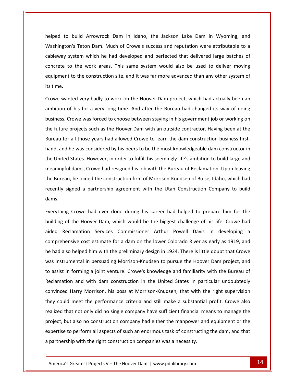to build Arrowrock Dam in Idaho, the Jackson Lake Dam in Wyoming, and <u>washington's</u> Teton Dam. Much of Crowe's success and reputation were attributable to a<br>Teton Dam. Much of Crowe's success and reputation were attributable to a build Arrowrock Dam in Idaho, the Jackson Lake Dam in Wyoming, and<br>In's Teton Dam. Much of Crowe's success and reputation were attributable to a<br>system which he had developed and perfected that delivered large batches of to build Arrowrock Dam in Idaho, the Jackson Lake Dam in Wyoming, and<br>Dn's Teton Dam. Much of Crowe's success and reputation were attributable to a<br>system which he had developed and perfected that delivered large batches o  $h$ elned to build Arrowrock Dam in Idaho, the Jackson Lake Dam in Wyoming, and<br>
I's Teton Dam. Much of Crowe's success and reputation were attributable to a<br>
ystem which he had developed and perfected that delivered large batches of<br> Washington'<br>cableway sy:<br>concrete to<br>equipment t<sub>i</sub><br>its time. ay system which he had developed and perfected that delivered large batches of<br>te to the work areas. This same system would also be used to deliver moving<br>ent to the construction site, and it was far more advanced than any concrete to the work areas. This same system would also be used to deliver moving to the work areas. This same system would also be used to deliver moving<br>it to the construction site, and it was far more advanced than any other system of<br>inted very badly to work on the Hoover Dam project, which had actu equipment to the construction site, and it was far more advanced than any other system of its time.

cable way to be a

It to the construction site, and it was far more advanced than any other system of<br>Inted very badly to work on the Hoover Dam project, which had actually been an<br>of his for a very long time. And after the Bureau had change ime.<br>We wanted very badly to work on the Hoover Dam project, which had actually been an<br>pition of his for a very long time. And after the Bureau had changed its way of doing<br>ness, Crowe was forced to choose between staying Crowe wanted very badly to work on the Hoover Dam project, which had actually been an ambition of his for a very long time. And after the Bureau had changed its way of doing on of his for a very long time. And after the Bureau had changed its way of doing<br>ess, Crowe was forced to choose between staying in his government job or working on<br>ture projects such as the Hoover Dam with an outside con business, Crowe was forced to choose between staying in his government job or working on ness, Crowe was forced to choose between staying in his government job or working on<br>future projects such as the Hoover Dam with an outside contractor. Having been at the<br>eau for all those years had allowed Crowe to learn the future projects such as the Hoover Dam with an outside contractor. Having been at the projects such as the Hoover Dam with an outside contractor. Having been at the<br>all those years had allowed Crowe to learn the dam construction business first-<br>e was considered by his peers to be the most knowledgeable dam Bureau for all those years had allowed Crowe to learn the dam construction business firsteau for all those years had allowed Crowe to learn the dam construction business first-<br>
d, and he was considered by his peers to be the most knowledgeable dam constructor in<br>
United States. However, in order to fulfill hi hand, and he was considered by his peers to be the most knowledgeable dam constructor in ship are an above the most knowledgeable dam constructor in<br>id States. However, in order to fulfill his seemingly life's ambition to build large and<br>iul dams, Crowe had resigned his job with the Bureau of Reclamation. Upon the United States. However, in order to fulfill his seemingly life's ambition to build large and meaningfu<br>the Bureau<br>recently si<br>dams. dams, Crowe had resigned his job with the Bureau of Reclamation. Upon leaving<br>he joined the construction firm of Morrison-Knudsen of Boise, Idaho, which had<br>ined a partnership agreement with the Utah Construction Company t the Bureau, he joined the construction firm of Morrison-Knudsen of Boise, Idaho, which had au, he joined the construction firm of Morrison-Knudsen of Boise, Idaho, which had<br>signed a partnership agreement with the Utah Construction Company to build<br>ng Crowe had ever done during his career had helped to prepare h recen dams.

. eject, st at not only did no single company have sufficient financial means to manage the<br>
t also no construction company had either the manpower and equipment or the<br>
p perform all aspects of such an enormous task of constructing t r signed a partnership agreement with the Utah Construction Company to build<br>ing Crowe had ever done during his career had helped to prepare him for the<br>is of the Hoover Dam, which would be the biggest challenge of his lif ve had ever done during his career had helped to prepare him for the<br>Hoover Dam, which would be the biggest challenge of his life. Crowe had<br>tion Services Commissioner Arthur Powell Davis in developing a<br>cost estimate for Everything Crowe had ever done during his career had helped to prepare him for the erything Crowe had ever done during his career had helped to prepare him for the lding of the Hoover Dam, which would be the biggest challenge of his life. Crowe had ed Reclamation Services Commissioner Arthur Powell Davis building of the Hoover Dam, which would be the biggest challenge of his life. Crowe had ling of the Hoover Dam, which would be the biggest challenge of his life. Crowe had<br>d Reclamation Services Commissioner Arthur Powell Davis in developing a<br>prehensive cost estimate for a dam on the lower Colorado River as aided Reclamation Services Commissioner Arthur Powell Davis in developing a<br>comprehensive cost estimate for a dam on the lower Colorado River as early as 1919, and<br>he had also helped him with the preliminary design in 1924 comprehensive cost estimate for a dam on the lower Colorado River as early as 1919, and re cost estimate for a dam on the lower Colorado River as early as 1919, and<br>elped him with the preliminary design in 1924. There is little doubt that Crowe<br>ntal in persuading Morrison-Knudsen to pursue the Hoover Dam proj he had also helped him with the preliminary design in 1924. There is little doubt that Crowe helped him with the preliminary design in 1924. There is little doubt that Crowe<br>mental in persuading Morrison-Knudsen to pursue the Hoover Dam project, and<br>forming a joint venture. Crowe's knowledge and familiarity with t was instrumental in persuading Morrison-Knudsen to pursue the Hoover Dam project, and nstrumental in persuading Morrison-Knudsen to pursue the Hoover Dam project, and<br>sist in forming a joint venture. Crowe's knowledge and familiarity with the Bureau of<br>mation and with dam construction in the United States i to assist in forming a joint venture. Crowe's knowledge and familiarity with the Bureau of in forming a joint venture. Crowe's knowledge and familiarity with the Bureau of<br>tion and with dam construction in the United States in particular undoubtedly<br>d Harry Morrison, his boss at Morrison-Knudsen, that with the r Reclamation and with dam construction in the United States in particular undoubtedly tion and with dam construction in the United States in particular undoubtedly<br>ed Harry Morrison, his boss at Morrison-Knudsen, that with the right supervision<br>uld meet the performance criteria and still make a substantial convinced Harry Morrison, his boss at Morrison-Knudsen, that with the right supervision I Harry Morrison, his boss at Morrison-Knudsen, that with the right supervision<br>d meet the performance criteria and still make a substantial profit. Crowe also<br>nat not only did no single company have sufficient financial m they could meet the performance criteria and still make a substantial profit. Crowe also ney could meet the performance criteria and still make a substandized that not only did no single company have sufficient financial<br>roject, but also no construction company had either the manpowe<br>spertise to perform all as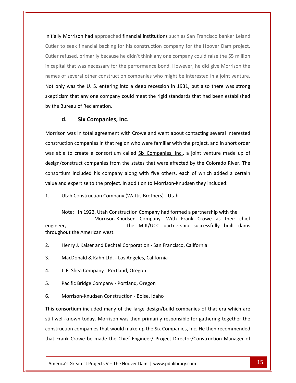Morrison had approached financial institutions such as San Francisco banker Leland Initially Morrison had approached financial institutions such as San Francisco banker Leland<br>Cutler to seek financial backing for his construction company for the Hoover Dam project. refused, primarily because he didn't think any one company for the Hoover Dam project.<br>The fused, primarily because he didn't think any one company could raise the \$5 million tially Morrison had approached financial institutions such as San Francisco banker Leland<br>tler to seek financial backing for his construction company for the Hoover Dam project.<br>tler refused, primarily because he didn't th Initially Morrison had approached financial institutions such as San Francisco banker Leland Initially Morrison had approached financial institutions such as San Francisco banker Leland<br>Cutler to seek financial backing for his construction company for the Hoover Dam project.<br>Cutler refused, primarily because he di er to seek financial backing for his construction company for the Hoover Dam project.<br>
Interfaced, primarily because he didn't think any one company could raise the \$5 million<br>
pital that was necessary for the performance Cutler refused, primarily because he didn't think any one company could raise the \$5 million that any one company could raise the \$5 million<br>hat was necessary for the performance bond. However, he did give Morrison the<br>everal other construction companies who might be interested in a joint venture.<br>The veral other in capital that was necessary for th<br>names of several other construction<br>**Not only was the U.S. entering in<br>skepticism that any one company**<br>by the Bureau of Reclamation. In capital that was hecessary for the performances of several other construction compands<br> **Not only was the U.S. entering into a derestignt that any one company could me**<br>
by the Bureau of Reclamation.<br> **d.** Six Companies was in that any one company could meet the rigid standards that had been established<br>
reau of Reclamation.<br>
Six Companies, Inc.<br>
was in total agreement with Crowe and went about contacting several interested constructionwas

### d. Six Companies, Inc.

Six Companies, Inc.<br>
Six Companies, Inc.<br>
Six Companies in that region who were familiar with the project, and in short order **d.** Six Companies, Inc.<br>ison was in total agreement with Crowe and went about contacting several interested<br>truction companies in that region who were familiar with the project, and in short order<br>able to create a consort companies, Inc.<br>cotal agreement with Crowe and went about contacting several interested<br>panies in that region who were familiar with the project, and in short order<br>te a consortium called Six Companies, Inc., a joint ventu Morrison W in total agreement with Crowe and went about contacting several interested<br>
companies in that region who were familiar with the project, and in short order<br>
create a consortium called Six Companies, Inc., a joint venture m construction companies in that region who were familiar with the project, and in short<br>was able to create a consortium called <u>Six Companies, Inc.</u>, a joint venture made<br>design/construct companies from the states that were was able to create a consortium called Six Companies, Inc., a joint venture made up of ble to create a consortium called <u>Six Companies, Inc.</u>, a join /construct companies from the states that were affected by the tium included his company along with five others, each of vand expertise to the project. In add  $\dots$   $\sim$  : Iluded his company along with five others, each of which added a certain<br>Intise to the project. In addition to Morrison-Knudsen they included:<br>Instruction Company (Wattis Brothers) - Utah<br>In 1922. Utah Construction Company mo company aion<sub>t</sub> With Tive Striets, each of Willem added a ecream<br>ion to Morrison-Knudsen they included:<br>S Brothers) - Utah<br>Company had formed a partnership with the<br>Company. With Frank Crowe as their chief value and

ertise to the project. In addition to Morrison-Knudsen they included:<br>
ionstruction Company (Wattis Brothers) - Utah<br>
In 1922, Utah Construction Company had formed a partnership with the<br>
Morrison-Knudsen Company. With Fra 1. Utah Construction Company<br>Note: In 1922, Utah Constru<br>Morrison-Knu<br>engineer,<br>throughout the American west. Note: In 1922, Utah Construction Company had formed a partnership with the<br>Morrison-Knudsen Company. With Frank Crowe as their chief<br>engineer,<br>the M-K/UCC partnership successfully built dams<br>throughout the American west. engineer, I. F. Shea Company - Portland, Oregon<br>J. F. Shea Company - Portland, Oregon<br>J. F. Shea Company - Portland, Oregon

Henry J. Kaiser and Bechtel Corporation - San Francisco, California 2. Henry J. Kaiser and Bechtel Corporation - San Francis<br>MacDonald & Kahn Ltd. - Los Angeles, California<br>J. F. Shea Company - Portland, Oregon<br>Pacific Bridge Company - Portland. Oregon

6.MacDonald & Kahn Ltd. - Los Angeles, California<br>J. F. Shea Company - Portland, Oregon<br>Pacific Bridge Company - Portland, Oregon<br>Morrison-Knudsen Construction - Boise. Idaho

 $4.$ 

5. Pacific Bridge Company - Portland, Oregon

 $6.$ 

construction companies that would make up the Six Companies, Inc. He then recommended Fraction increased many of the large design, band companies of that era which are<br>nown today. Morrison was then primarily responsible for gathering together the<br>nompanies that would make up the Six Companies, Inc. He then J. F. Shea Company - Portland, Oregon<br>Pacific Bridge Company - Portland, Oregon<br>Morrison-Knudsen Construction - Boise, Idaho<br>consortium included many of the large design/build companies of that era which are Pacific Bridge Company - Portland, Oregon<br>Morrison-Knudsen Construction - Boise, Idaho<br>Consortium included many of the large design/build companies of that era which are<br>Well-known today. Morrison was then primarily respon company - Totuand, Oregon<br>son-Knudsen Construction - Boise, Idaho<br>um included many of the large design/build companies of that era which are<br>wn today. Morrison was then primarily responsible for gathering together the<br>comp 6. Morrison-Knudsen Construction - Boise, Idaho<br>This consortium included many of the large design/build companies of that era which are<br>still well-known today. Morrison was then primarily responsible for gathering together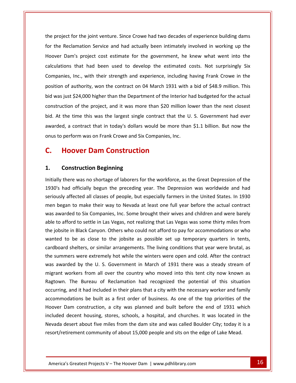project for the joint venture. Since Crowe had two decades of experience building dams project for the joint venture. Since Crowe had two decades of experience building dams<br>the Reclamation Service and had actually been intimately involved in working up the Exect for the joint venture. Since Crowe had two decades of experience building dams<br>Reclamation Service and had actually been intimately involved in working up the<br>Dam's project cost estimate for the government, he knew w or the joint venture. Since Crowe had two decades of experience building dams<br>that had been and had actually been intimately involved in working up the<br>'s project cost estimate for the government, he knew what went into th  $tha$  project or the joint venture. Since Crowe had two decades of experience building dams<br>amation Service and had actually been intimately involved in working up the<br>1's project cost estimate for the government, he knew what went into for the Reclamation Service and had actually been intimately involved in working up the Reclamation Service and had actually been intimately involved in working up the<br>Dam's project cost estimate for the government, he knew what went into the<br>pns that had been used to develop the estimated costs. Not surprisi Hoover Dam's project cost estimate for the government, he knew what went into the wer Dam's project cost estimate for the government, he knew what went into the ulations that had been used to develop the estimated costs. Not surprisingly Six apanies, Inc., with their strength and experience, including h calculations that had been used to develop the estimated costs. Not surprisingly Six<br>Companies, Inc., with their strength and experience, including having Frank Crowe in the<br>position of authority, won the contract on 04 Ma Companies, Inc., with their strength and experience, including having Frank Crowe in the panies, Inc., with their strength and experience, including having Frank Crowe in the<br>ion of authority, won the contract on 04 March 1931 with a bid of \$48.9 million. This<br>vas just \$24,000 higher than the Department of the nosition *d* f authority, won the contract on 04 March 1931 with a bid of \$48.9 million. This<br>st \$24,000 higher than the Department of the Interior had budgeted for the actual<br>on of the project, and it was more than \$20 million lower t bid was just \$24,000 higher than the Department of the Interior had budgeted for the actual position of authority, won the contract on 04 March 1931 with a<br>bid was just \$24,000 higher than the Department of the Interior h<br>construction of the project, and it was more than \$20 million lo<br>bid. At the time this was t **Hoover Dam Contraction Standard Standard Standard Standard Standard Standard Standard Standard Standard Standard Standard Standard Standard Standard Standard Standard Standard Standard Standard Standard Standard Standard** bid. At the time this was the largest single contract that the U. S. Government had ever the time this was the largest single<br>d, a contract that in today's dollars<br>perform was on Frank Crowe and Six<br>**Hoover Dam Constructio**<br>Construction Beginning onus to perform was on Frank Crowe and Six Companies, Inc.

### seriously

### $1.$

Hoovers and the second series

Nevada desert about five miles from the dam site and was called Boulder City; today it is a ecent housing, stores, schools, a hospital, and churches. It was located in the<br>sert about five miles from the dam site and was called Boulder City; today it is a<br>rement community of about 15,000 people and sits on the edg pertorm was on Frank Crowe and Six Companies, Inc.<br>Hoover Dam Construction<br>Construction Beginning<br>there was no shortage of laborers for the workforce, as the Great Depression of the **C.**<br>1.<br>1030's **Hoover Dam Construction<br>
Construction Beginning<br>
there was no shortage of laborers for the workforce, as the Great Depression of the<br>
had officially begun the preceding year. The Depression was worldwide and had SOVET DATH CONSTRUCTION**<br> **SIMPLE STATE STATE STATE STATE OF STATE STATE OF PEOPLE STATE OF THE UNITED STATE OF THE UNITED STATE OF PEOPLE And States. In 1930**<br> **States and States of people, but especially farmers in the Construction Beginning**<br>Ily there was no shortage of laborers for the workforce, as the Great Depression of the<br>Is had officially begun the preceding year. The Depression was worldwide and had<br>usly affected all classes of ally there was no shortage of laborers for the workforce, as the Great Depression of the<br>D's had officially begun the preceding year. The Depression was worldwide and had<br>busly affected all classes of people, but especiall Initia Ily there was no shortage of laborers for the workforce, as the Great Depression of the<br>
's had officially begun the preceding year. The Depression was worldwide and had<br>
usly affected all classes of people, but especially 1930's had officially begun the preceding year. The Depression was worldwide and had O's had officially begun the preceding year. The Depression was worldwide and had<br>
pusly affected all classes of people, but especially farmers in the United States. In 1930<br>
polymetrical to make their way to Nevada at lea seriousl men began to make their way to Nevada at least one full year before the actual contract I to make their way to Nevada at least one full year before the actual contract<br>ed to Six Companies, Inc. Some brought their wives and children and were barely<br>ord to settle in Las Vegas, not realizing that Las Vegas was s was awarded to Six Companies, Inc. Some brought their wives and children and were barely awarded to Six Companies, Inc. Some brought their wives and children and were barely<br>to afford to settle in Las Vegas, not realizing that Las Vegas was some thirty miles from<br>jobsite in Black Canyon. Others who could not a able to afford to settle in Las Vegas, not realizing that Las Vegas was some thirty miles from to afford to settle in Las Vegas, not realizing that Las Vegas was some thirty miles from<br>
bbsite in Black Canyon. Others who could not afford to pay for accommodations or who<br>
ed to be as close to the jobsite as possible the jobsite in Black Canyon. Others who could not afford to pay for accommodations or who te in Black Canyon. Others who could not afford to pay for accommodations or who<br>to be as close to the jobsite as possible set up temporary quarters in tents,<br>d shelters, or similar arrangements. The living conditions that wanted t be as close to the jobsite as possible set up temporary quarters in tents,<br>shelters, or similar arrangements. The living conditions that year were brutal, as<br>ers were extremely hot while the winters were open and cold. Aft cardboard shelters, or similar arrangements. The living conditions that year were brutal, as shelters, or similar arrangements. The living conditions that year were brutal, as<br>ers were extremely hot while the winters were open and cold. After the contract<br>led by the U. S. Government in March of 1931 there was a st the summers were extremely hot while the winters were open and cold. After the contract e extremely hot while the winters were open and cold. After the contract<br>the U. S. Government in March of 1931 there was a steady stream of<br>from all over the country who moved into this tent city now known as<br>ureau of Recl was awarded by the U. S. Government in March of 1931 there was a steady stream of arded by the U.S. Government in March of 1931 there was a steady stream of<br>workers from all over the country who moved into this tent city now known as<br>i. The Bureau of Reclamation had recognized the potential of this situ migrant workers from all over the country who moved into this tent city now known as workers from all over the country who moved into this tent city now known as<br>The Bureau of Reclamation had recognized the potential of this situation<br>, and it had included in their plans that a city with the necessary work Ragtown. The Bureau of Reclamation had recognized the potential of this situation n. The Bureau of Reclamation had recognized the potential of this situation<br>g, and it had included in their plans that a city with the necessary worker and family<br>inductions be built as a first order of business. As one of occurring, and it had included in their plans that a city with the necessary worker and family accommodations be built as a first order of business. As one of the top priorities of the Hoover Dam construction, a city was planned and built before the end of 1931 which included decent housing, stores, schools, a hospi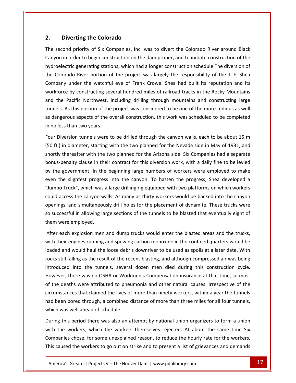## **Diverting the Colorado** the $\blacksquare$

Diverting the Colorado<br>Second priority of Six Companies, Inc. was to divert the Colorado River around Black **Diverting the Colorado**<br>
ond priority of Six Companies, Inc. was to divert the Colorado River around Black<br>
in order to begin construction on the dam proper, and to initiate construction of the **ting the Colorado**<br>riority of Six Companies, Inc. was to divert the Colorado River around Black<br>ler to begin construction on the dam proper, and to initiate construction of the<br>generating stations, which had a longer cons **Diverting the Colorado**<br>second priority of Six Companies, Inc. was to divert the Colorado River around Black<br>yon in order to begin construction on the dam proper, and to initiate construction of the<br>coelectric generating d priority of Six Companies, Inc. was to divert the Colorado River around Black<br>order to begin construction on the dam proper, and to initiate construction of the<br>ric generating stations, which had a longer construction sc The second priority of Six Companies, Inc. was to divert the Colorado River around Black d priority of Six Companies, Inc. was to divert the Colorado River around Black<br>prder to begin construction on the dam proper, and to initiate construction of the<br>ric generating stations, which had a longer construction sc Can on in order to begin construction on the dam proper, and to initiate construction of the<br>pelectric generating stations, which had a longer construction schedule The diversion of<br>Colorado River portion of the project was la hydroelectric generating stations, which had a longer construction schedule The diversion of ctric generating stations, which had a longer construction schedule The diversion of<br>rado River portion of the project was largely the responsibility of the J. F. Shea<br>y under the watchful eye of Frank Crowe. Shea had buil the Colorado River portion of the project was largely the responsibility of the J. F. Shea Explorado River portion of the project was largely the responsibility of the J. F. Shea<br>
mpany under the watchful eye of Frank Crowe. Shea had built its reputation and its<br>
orkforce by constructing several hundred miles of  $C<sub>C</sub>$ Company under the watchfu<br>workforce by constructing sev<br>and the Pacific Northwest, i<br>tunnels. As this portion of the<br>as dangerous aspects of the c<br>in no less than two vears. The Pacific Northwest, including drilling through mountains and constructing large<br>els. As this portion of the project was considered to be one of the more tedious as well<br>ngerous aspects of the overall construction, this and the Pacific Northwest, including drilling through mountains and constructing large Facture Facture Not trivest, including urining tribught modificants and constructing rarge<br>hels. As this portion of the project was considered to be one of the more tedious as well<br>angerous aspects of the overall construct turlici.<br>. as dangerous aspects of the overall construction, this work was scheduled to be completed in no less than two years.

thereafter with the two planned for the Arizona side. Six Companies had a separate<br>thereafter with the two planned for the Nevada side in May of 1931, and<br>thereafter with the two planned for the Arizona side. Six Companies spects of the overall construction, this work was scheduled to be completed<br>two years.<br>tunnels were to be drilled through the canyon walls, each to be about 15 m<br>eter, starting with the two planned for the Nevada side in M It Diversion tunnels were to be drilled through the canyon walls, each to be about 15 m<br>ft.) in diameter, starting with the two planned for the Nevada side in May of 1931, and<br>rtly thereafter with the two planned for the A Four Diversion tunnels were to be drilled through the canyon walls, each to be about 15 m Diversion tunnels were to be drilled through the canyon walls, each to be about 15 m<br>
.) in diameter, starting with the two planned for the Nevada side in May of 1931, and<br>
y thereafter with the two planned for the Arizona (50 ft.) in diameter, starting with the two planned for the Nevada side in May of 1931, and n diameter, starting with the two planned for the Nevada side in May of 1931, and<br>thereafter with the two planned for the Arizona side. Six Companies had a separate<br>enalty clause in their contract for this diversion work, shortl q thereafter with the two planned for the Arizona side. Six Companies had a separate<br>
penalty clause in their contract for this diversion work, with a daily fine to be levied<br>
e government. In the beginning large numbers o bonus-penalty clause in their contract for this diversion work, with a daily fine to be levied ialty clause in their contract for this diversion work, with a daily fine to be levied<br>vernment. In the beginning large numbers of workers were employed to make<br>slightest progress into the canyon. To hasten the progress, S by the government. In the beginning large numbers of workers were employed to make the government. In the beginning large numbers of workers were employed to make<br>en the slightest progress into the canyon. To hasten the progress, Shea developed a<br>mbo Truck", which was a large drilling rig equipped with t even the slightest progress into the canyon. To hasten the progress, Shea developed a even the slightest progre:<br>"Jumbo Truck", which was<br>could access the canyon w<br>ppenings, and simultaneou<br>so successful in allowing la<br>them were emploved. could access the canyon walls. As many as thirty workers would be backed into the canyon openings, and simultaneously drill holes for the placement of dynamite. These trucks were so successful in allowing large sections of the carry of wars. As many as the y workers would be backed into the carry of<br>ings, and simultaneously drill holes for the placement of dynamite. These trucks were<br>ccessful in allowing large sections of the tunnels to be b openings, and simultaneously drill holes for the placement of dynamite. These trucks were so successful in allowing large sections of the tunnels to be blasted that eventually eight of them were employed.

ss, and simultaneously difficultes for the placement of dynamic. These trucks were<br>essful in allowing large sections of the tunnels to be blasted that eventually eight of<br>ere employed.<br>ach explosion men and dump trucks wou still falling as the result of the recent blasting and although compressed that eventually eight of<br>the result of the result of the recent blasting in the confined quarters would be<br>d and would haul the loose debris downri intern were employed.<br>
After each explosion men and dump trucks would enter the blasted areas and the trucks,<br>
with their engines running and spewing carbon monoxide in the confined quarters would be<br>
loaded and would haul There was no OSHA or Workmen's Compensation insurance at that time, so most there was no OSHA or Workmen's Compensation insurance at that time, so most there was no OSHA or Workmen's Compensation insurance at that time, so W th their engines running and spewing carbon monoxide in the confined quarters would be<br>ded and would haul the loose debris downriver to be used as spoils at a later date. With<br>ks still falling as the result of the recent b loaded and would haul the loose debris downriver to be used as spoils at a later date. With uld haul the loose debris downriver to be used as spoils at a later date. With<br>g as the result of the recent blasting, and although compressed air was being<br>co the tunnels, several dozen men died during this construction c rocks still falling as the result of the recent blasting, and although compressed air was being rocks still falling as the result of the recent blasting, and although compressed air was being<br>introduced into the tunnels, several dozen men died during this construction cycle.<br>However, there was no OSHA or Workmen's Co introduced into the tunnels, several<br>However, there was no OSHA or Work<br>of the deaths were attributed to pneu<br>circumstances that claimed the lives of<br>had been bored through, a combined c<br>which was well ahead of schedule. there was no OSTIA of WORKHEIT'S COMPENSATION INSTANCE at that three, SO MOST<br>deaths were attributed to pneumonia and other natural causes. Irrespective of the<br>tances that claimed the lives of more than ninety workers, wit withThe workers that claimed the lives of more than ninety workers, within a year the tunnels<br>een bored through, a combined distance of more than three miles for all four tunnels,<br>i was well ahead of schedule.<br>In was well ahea Chicumstani<br>...

Americaísperiod there was also an attempt by national union organizers to form a union<br>vorkers, which the workers themselves rejected. At about the same time Six<br>chose, for some unexplained reason, to reduce the hourly rate for the chouristances that claimed the lives of more than limety workers, whilm a year the tunnels,<br>had been bored through, a combined distance of more than three miles for all four tunnels,<br>which was well ahead of schedule.<br>Durin caused the workers to go out on strike and to present a list of grievances and demands<br>caused the workers to go out on strike and to present a list of grievances and demands<br>caused the workers to go out on strike and to pr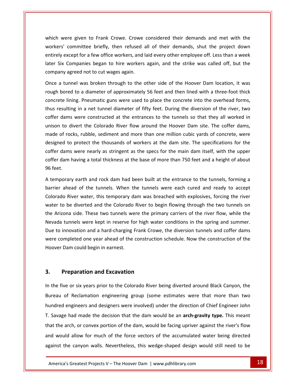were given to Frank Crowe. Crowe considered their demands and met with the which were given to Frank Crowe. Crowe considered their demands and met with the committee briefly, then refused all of their demands, shut the project down except for a frank Crowe. Crowe considered their demands and met with the<br>
Except for a few office workers, and laid every other employee off. Less than a week Six Companies began to hire workers again, and their demands and met with the<br>Six Committee briefly, then refused all of their demands, shut the project down<br>Six Companies began to hire workers again, and the strike was ca which were given to Frank Crowe. Crowe<br>workers' committee briefly, then refused<br>entirely except for a few office workers, and<br>later Six Companies began to hire workers<br>company agreed not to cut wages again. a tunnel was broken through to the other side of the Hoover Dam location, it was<br>a tunnel was broken through to the other side of the Hoover Dam location, it was<br>a tunnel was broken through to the other side of the Hoover worke by except for a few office workers, and laid every other employee off. Less than a week<br>ix Companies began to hire workers again, and the strike was called off, but the<br>ny agreed not to cut wages again.<br>a tunnel was broken entirely except for a few office workers, and laid every other employee off. Less than a week company agreed not to cut wages again.

later Six Companies began to hire workers, and laid every other employee on: Less than a week<br>later Six Companies began to hire workers again, and the strike was called off, but the<br>company agreed not to cut wages again.<br>O resulting in a net tunnel diameter of fifty feet. During the diversion of the river was verted to a diameter of approximately 56 feet and then lined with a three-foot thick<br>rete lining. Pneumatic guns were used to place th It unnel was broken through to the other side of the Hoover Dam location, it was<br>bored to a diameter of approximately 56 feet and then lined with a three-foot thick<br>te lining. Pneumatic guns were used to place the concrete Once a tunnel was broken through to the other side of the Hoover Dam location, it was Once a tunnel was broken through to the other side of the Hoover Dam location, it was<br>rough bored to a diameter of approximately 56 feet and then lined with a three-foot thick<br>concrete lining. Pneumatic guns were used to p bored to a diameter of approximately 56 feet and then lined with a three-foot thick<br>te lining. Pneumatic guns were used to place the concrete into the overhead forms,<br>esulting in a net tunnel diameter of fifty feet. During concrete lining. Pneumatic guns were used to place the concrete into the overhead forms, lining. Pneumatic guns were used to place the concrete into the overhead forms,<br>ting in a net tunnel diameter of fifty feet. During the diversion of the river, two<br>ms were constructed at the entrances to the tunnels so tha thus r esulting in a net tunnel diameter of fifty feet. During the diversion of the river, two<br>dams were constructed at the entrances to the tunnels so that they all worked in<br>to divert the Colorado River flow around the Hoover D cofferdams were constructed at the entrances to the tunnels so that they all worked in<br>to divert the Colorado River flow around the Hoover Dam site. The coffer dams,<br>of rocks, rubble, sediment and more than one million cubic yar unison to divert the Colorado River flow around the Hoover Dam site. The coffer dams, unison to di<br>made of roc<br>designed to<br>coffer dams<br>coffer dam l<br>96 feet. the signed to protect the thousands of workers at the dam site. The specifications for the<br>ffer dams were nearly as stringent as the specs for the main dam itself, with the upper<br>ffer dam having a total thickness at the ba designed to protect the thousands of workers at the dam site. The specifications for the ahead of the tunnels. When the tunnels were each cured and ready to accept<br>am having a total thickness at the base of more than 750 feet and a height of about<br>prary earth and rock dam had been built at the entrance to the Collei da concr 96 feet.

It is were nearly as stringent as the specs for the main dam itsen, with the upper<br>In having a total thickness at the base of more than 750 feet and a height of about<br>ary earth and rock dam had been built at the entrance t to be diverted and the Colorado River to begin flowing through the two tunnels on<br>to be diverted and the Colorado River to begin flowing through the two tunnels on<br>to be diverted and the Colorado River to begin flowing thr mporary earth and rock dam had been built at the entrance to the tunnels, forming a<br>ier ahead of the tunnels. When the tunnels were each cured and ready to accept<br>rrado River water, this temporary dam was breached with exp A temporary earth and rock dam had been built at the entrance to the tunnels, forming a A temporary earth and rock dam had been built at the entrance to the tunnels, forming a<br>barrier ahead of the tunnels. When the tunnels were each cured and ready to accept<br>Colorado River water, this temporary dam was breach er ahead of the tunnels. When the tunnels were each cured and ready to accept<br>rado River water, this temporary dam was breached with explosives, forcing the river<br>r to be diverted and the Colorado River to begin flowing th Color ado River water, this temporary dam was breached with explosives, forcing the river<br>to be diverted and the Colorado River to begin flowing through the two tunnels on<br>rizona side. These two tunnels were the primary carriers water to be diverted and the Colorado River to begin flowing through the two tunnels on the Arizona side. These two tunnels were the primary carriers of the river flow, while the Nevada tunnels were kept in reserve for high water conditions in the spring and summer.<br>Due to innovation and a hard-charging Frank Nevada tunnels were kept in reserve for high water conditions in the spring and summer. I tunnels were kept in reserve for high wate<br>
innovation and a hard-charging Frank Crow<br>
pmpleted one year ahead of the constructio<br>
Dam could begin in earnest.<br> **Preparation and Excavation** Hoover Dam could begin in earnest. the five or six years or six terms in the five or six years.<br> **Preparation and Excavation**<br>
The five or six years prior to the Colorado River being diverted around Black Canyon, the

### $3.$

entirely and the control of the control of the control of the control of the control of the control of the con<br>The control of the control of the control of the control of the control of the control of the control of the c

that the arch, or convex portion of the dam, would be facing upriver against the river's flow and made the decision that the dam would be an **arch-gravity type.** This meant<br>ch, or convex portion of the dam, would be facing upriver against the river's flow<br>allow for much of the force vectors of the accumulated wate Preparation and Excavation<br>
Ve or six years prior to the Colorado River being diverted around Black Canyon, the<br>
of Reclamation engineering group (some estimates were that more than two reparation and Excavation<br>
e or six years prior to the Colorado River being diverted around Black Canyon, the<br>
of Reclamation engineering group (some estimates were that more than two<br>
engineers and designers were involved **Preparation and Excavation**<br>the five or six years prior to the Colorado River being diverted around Black Canyon, the<br>reau of Reclamation engineering group (some estimates were that more than two<br>ndred engineers and desig In the five or six years prior to the Colorado River being diverted around Black Canyon, the<br>
Bureau of Reclamation engineering group (some estimates were that more than two<br>
hundred engineers and designers were involved) Bureau of Reclamation engineering group (some estimates were that more than two au of Reclamation engineering group (some estimates were that more than two<br>dred engineers and designers were involved) under the direction of Chief Engineer John<br>wage had made the decision that the dam would be an **arch-g** hundred engineers and designers were involved) under the direction of Chief Engineer John<br>T. Savage had made the decision that the dam would be an **arch-gravity type.** This meant<br>that the arch, or convex portion of the dam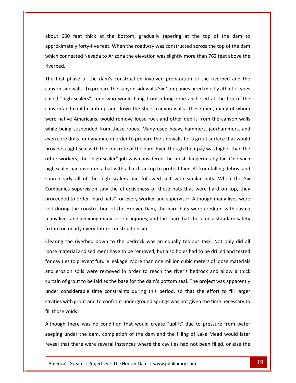EXTERN FROM THE SERVICE SERVICE SERVICE SERVICE SERVICE SERVICE SERVICE SERVICE SERVICE SERVICE SERVICE SERVICE SERVICE SERVICE SERVICE SERVICE SERVICE SERVICE SERVICE SERVICE SERVICE SERVICE SERVICE SERVICE SERVICE SERVIC Forty-five feet. When the roadway was constructed across the top of the dam<br>Forty-five feet. When the roadway was constructed across the top of the dam 660 feet thick at the bottom, gradually tapering at the top of the dam to<br>
simately forty-five feet. When the roadway was constructed across the top of the dam<br>
connected Nevada to Arizona the elevation was slightly more t about 660 f<br>approximatel<br>which connec<br>riverbed. It 660 feet thick at the bottom, gradually tapering at the top of the dam to<br>oximately forty-five feet. When the roadway was constructed across the top of the dam<br>h connected Nevada to Arizona the elevation was slightly mo approxi mately forty-five feet. When the roadway was constructed across the top of the dam<br>onnected Nevada to Arizona the elevation was slightly more than 762 feet above the<br>d.<br>t phase of the dam's construction involved preparatio which connected Nevada to Arizona the elevation was slightly more than 762 feet above the riverbed.

which which was a strong which was a strong which was a strong which was a strong which was a strong was a str<br>The contract was a strong was a strong was a strong was a strong was a strong was a strong was a strong was a

connected Nevada to Arizona the elevation was slightly more than 762 feet above the<br>d.<br>st phase of the dam's construction involved preparation of the riverbed and the<br>insidewalls. To prepare the canyon sidewalls Six Compan 1.<br>
and could climb up and down the sheer canyon walls. These men, many of whom<br>
and could climb up and down the sheer canyon walls. These men, many of whom The first phase of the dam's construction involved preparation of the riverbed and the irst phase of the dam's construction involved preparation of the riverbed and the<br>n sidewalls. To prepare the canyon sidewalls Six Companies hired mostly athletic types<br>"high scalers", men who would hang from a long rope a canyon sidewalls. To prepare the canyon sidewalls Six Companies hired mostly athletic types head is. To prepare the canyon sidewalls Six Companies hired mostly athletic types<br>
"high scalers", men who would hang from a long rope anchored at the top of the<br>
n and could climb up and down the sheer canyon walls. Thes called "high scalers", men who would hang from a long rope anchored at the top of the d "high scalers", men who would hang from a long rope anchored at the top of the<br>on and could climb up and down the sheer canyon walls. These men, many of whom<br>native Americans, would remove loose rock and other debris fro provideand could climb up and down the sheer canyon walls. These men, many of whom<br>tive Americans, would remove loose rock and other debris from the canyon walls<br>eing suspended from these ropes. Many used heavy hammers, jackhamme were native Americans, would remove loose rock and other debris from the canyon walls hative Americans, would remove loose rock and other debris from the canyon walls<br>being suspended from these ropes. Many used heavy hammers, jackhammers, and<br>ore drills for dynamite in order to prepare the sidewalls for a g while being suspended from these ropes. Many used heavy hammers, jackhammers, and scaler had invented a hat with a hard tar top to protect himself from falling debris, and<br>scaler had invented a hat with a hard tar top to protect himself from falling debris, and<br>scaler had invented a hat with a hard tar even core drills for dynamite in order to prepare the sidewalls for a grout surface that would rearly all of the high scalers had followed suit with similar hats. When the Sixetive high scaler had invented a hat with a hard tar top to protect himself from falling debris, and nearly all of the high scalers had follow nrovide a ti sht seal with the concrete of the dam. Even though their pay was higher than the<br>ers, the "high scaler" job was considered the most dangerous by far. One such<br>nad invented a hat with a hard tar top to protect himself from other workers, the "high scaler" job was considered the most dangerous by far. One such ers, the "high scaler" job was considered the most dangerous by far. One such<br>had invented a hat with a hard tar top to protect himself from falling debris, and<br>y all of the high scalers had followed suit with similar hats high scaler had invented a hat with a hard tar top to protect himself from falling debris, and scaler had invented a hat with a hard tar top to protect himself from falling debris, and<br>
i nearly all of the high scalers had followed suit with similar hats. When the Six<br>
panies supervision saw the effectiveness of the soon nearly all of the high scalers had followed suit with similar hats. When the Six nearly all of the high scalers had followed suit with similar hats. When the Six<br>anies supervision saw the effectiveness of these hats that were hard on top, they<br>eded to order "hard hats" for every worker and supervisor. Companies supervision saw the effectiveness of the<br>proceeded to order "hard hats" for every worker are<br>lost during the construction of the Hoover Dam, t<br>many lives and avoiding many serious injuries, and t<br>fixture on nearl red to order "hard hats" for every worker and supervisor. Although many lives were<br>the riversity of the Hoover Dam, the hard hats were credited with saving<br>the sand avoiding many serious injuries, and the "hard hat" became lost c uring the construction of the Hoover Dam, the hard hats were credited with saving<br>lives and avoiding many serious injuries, and the "hard hat" became a standard safety<br>e on nearly every future construction site.<br>Ing the ri many lives and avoiding many serious injuries, and the "hard hat" became a standard safety fixture on nearly every future construction site.

ny lives and avoiding many serious injuries, and the "hard hat" became a standard safety<br>ure on nearly every future construction site.<br>aring the riverbed down to the bedrock was an equally tedious task. Not only did all<br>se re on nearly every future construction site.<br>
ring the riverbed down to the bedrock was an equally tedious task. Not only did all<br>
e material and sediment have to be removed, but also holes had to be drilled and tested<br>
av Clearing the riverbed down to the bedrock was an equally tedious task. Not only did all is the riverbed down to the bedrock was an equally tedious task. Not only did all<br>aterial and sediment have to be removed, but also holes had to be drilled and tested<br>ties to prevent future leakage. More than one million c loose material and sediment have to be removed, but also holes had to be drilled and tested naterial and sediment have to be removed, but also holes had to be drilled and tested<br>ities to prevent future leakage. More than one million cubic meters of loose materials<br>osion soils were removed in order to reach the ri for cavities to prevent future leakage. More than one million cubic meters of loose materials ies to prevent future leakage. More than one million cubic meters of loose materials<br>sion soils were removed in order to reach the river's bedrock and allow a thick<br>of grout to be laid as the base for the dam's bottom seal and erosion soils v<br>curtain of grout to k<br>under considerable<br>cavities with grout a<br>fill those voids. grout to be laid as the base for the dam's bottom seal. The project was apparently<br>isiderable time constraints during this period, so that the effort to fill larger<br>th grout and to confront underground springs was not give under considerable time constraints during this period, so that the effort to fill larger onsiderable time constraints during this period, so that the effort to fill larger<br>with grout and to confront underground springs was not given the time necessary to<br>voids.<br>In there was no condition that would create "upli cavities with grout and to confront underground springs was not given the time necessary to

Ithough 1 bids.<br>
here was no condition that would create "uplift" due to pressure from water<br>
der the dam, completion of the dam and the filling of Lake Mead would later<br>
there were several instances where the cavities had not been is with grout and to confront underground springs was not given the time necessary to<br>se voids.<br>gh there was no condition that would create "uplift" due to pressure from water<br>g under the dam, completion of the dam and the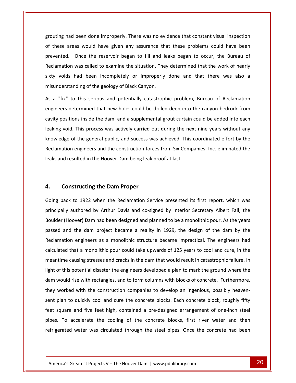had been done improperly. There was no evidence that constant visual inspection These areas would have given any assurance that these problems could have been<br>These areas would have given any assurance that these problems could have been Deen done improperly. There was no evidence that constant visual inspection<br>as would have given any assurance that these problems could have been<br>Once the reservoir began to fill and leaks began to occur, the Bureau of been done improperly. There was no evidence that constant visual inspection<br>as would have given any assurance that these problems could have been<br>Once the reservoir began to fill and leaks began to occur, the Bureau of<br>was grouting had been done improperly. There was no evidence that constant visual inspection may had been done improperly. There was no evidence that constant visual inspection<br>vecare areas would have given any assurance that these problems could have been<br>nted. Once the reservoir began to fill and leaks began to of these areas would have given any assurance th<br>prevented. Once the reservoir began to fill and le<br>Reclamation was called to examine the situation. The<br>sixty voids had been incompletely or improperly<br>misunderstanding of t vented. Once the reservoir began to fill and leaks began to occur, the Bureau of<br>lamation was called to examine the situation. They determined that the work of nearly<br>y voids had been incompletely or improperly done and th Reclamation was called to examine the situation. They determined that the work of nearly on was called to examine the situation. They determined that the work of nearly<br>s had been incompletely or improperly done and that there was also a<br>tanding of the geology of Black Canyon.<br>to this serious and potentially c sixty voids had been incompletely or improperly done and that there was also a misunderstanding of the geology of Black Canyon.

positions inside the dam, and a supplemental grout curtain could be added into each<br>positions inside the dam, and a supplemental grout curtain could be added into each<br>positions inside the dam, and a supplemental grout cur erstanding of the geology of Black Canyon.<br>
ix" to this serious and potentially catastrophic problem, Bureau of Reclamation<br>
rs determined that new holes could be drilled deep into the canyon bedrock from<br>
ositions inside As a "fix" to this serious and potentially catastrophic problem, Bureau of Reclamation to this serious and potentially catastrophic problem, Bureau of Reclamation<br>etermined that new holes could be drilled deep into the canyon bedrock from<br>ions inside the dam, and a supplemental grout curtain could be added i angingare de termined that new holes could be drilled deep into the canyon bedrock from<br>ns inside the dam, and a supplemental grout curtain could be added into each<br>This process was actively carried out during the next nine years witho cavity positions inside the dam, and a supplemental grout curtain could be added into each positions inside the dam, and a supplemental grout curtain<br>and rotal. This process was actively carried out during the ne-<br>ledge of the general public, and success was achieved. This<br>mation engineers and the construction f **4.**dge of the general public, and success was<br>ation engineers and the construction force<br>nd resulted in the Hoover Dam being leak po<br>**Constructing the Dam Proper** leaks and resulted in the Hoover Dam being leak proof at last. nd resulted in the Hoover Dam being leak proof at last.<br> **Constructing the Dam Proper**<br>
back to 1922 when the Reclamation Service presented its first report, which was

### $4.$

prevented.<br>Prevented.

e and live leet high, contained a pre-designed arrangement of one-inch steel<br>accelerate the cooling of the concrete blocks, first river water and then<br>d water was circulated through the steel pipes. Once the concrete had b **authored by Arthur Dam Proper**<br>authored by Arthur Davis and co-signed by Interior Secretary Albert Fall, the (Anatructing the Dam Proper<br>
Ack to 1922 when the Reclamation Service presented its first report, which was<br>
Ily authored by Arthur Davis and co-signed by Interior Secretary Albert Fall, the<br>
(Hoover) Dam had been designed Constructing the Dam Proper<br>ack to 1922 when the Reclamation Service presented its first report, which was<br>lly authored by Arthur Davis and co-signed by Interior Secretary Albert Fall, the<br>(Hoover) Dam had been designed an Going back to 1922 when the Reclamation Service presented its first report, which was o 1922 when the Reclamation Service presented its first report, which was<br>ithored by Arthur Davis and co-signed by Interior Secretary Albert Fall, the<br>ver) Dam had been designed and planned to be a monolithic pour. As the principally authored by Arthur Davis and co-signed by Interior Secretary Albert Fall, the authored by Arthur Davis and co-signed by Interior Secretary Albert Fall, the<br>oover) Dam had been designed and planned to be a monolithic pour. As the years<br>d the dam project became a reality in 1929, the design of the dam Boulder (Hoover) Dam had been designed and planned to be a monolithic pour. As the years oover) Dam had been designed and planned to be a monolithic pour. As the years<br>d the dam project became a reality in 1929, the design of the dam by the<br>pn engineers as a monolithic structure became impractical. The enginee passed and the dam project became a reality in 1929, the design of the dam by the ed and the dam project became a reality in 1929, the design of the dam by the<br>umation engineers as a monolithic structure became impractical. The engineers had<br>lated that a monolithic pour could take upwards of 125 years t Reclamation engineers as a monolithic structure became impractical. The engineers had Reclamation engineers as a monolithic structure became impractical. The engineers had<br>calculated that a monolithic pour could take upwards of 125 years to cool and cure, in the<br>meantime causing stresses and cracks in the d calculated that a monolithic pour could take upwards of 125 years to cool and cure, in the<br>meantime causing stresses and cracks in the dam that would result in catastrophic failure. In<br>light of this potential disaster the ntime causing stresses and cracks in the dam that would result in catastrophic failure. In<br>of this potential disaster the engineers developed a plan to mark the ground where the<br>would rise with rectangles, and to form colu light of this potential disaster the engineers developed a plan to mark the ground where the of this potential disaster the engineers developed a plan to mark the ground where the<br>would rise with rectangles, and to form columns with blocks of concrete. Furthermore,<br>worked with the construction companies to develop dam would rise with rectangles, and to form columns with blocks of concrete. Furthermore, buld rise with rectangles, and to form columns with blocks of concrete. Furthermore,<br>
orked with the construction companies to develop an ingenious, possibly heaven-<br>
an to quickly cool and cure the concrete blocks. Each c they worked with the construction companies to develop an ingenious, possibly heavenwith the construction companies to develop an ingenious, possibly heaven-<br>quickly cool and cure the concrete blocks. Each concrete block, roughly fifty<br>and five feet high, contained a pre-designed arrangement of one-inch s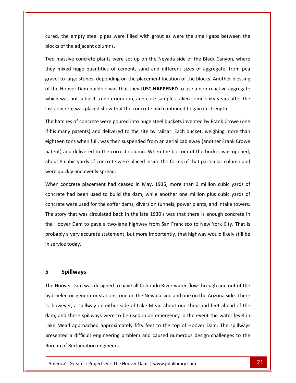the empty steel pipes were filled with grout as were the small gaps between the of the adjacent columns. Twod, the empty steel pipes were filled with grout as were the small gaps between the<br>is of the adjacent columns.<br>massive concrete plants were set up on the Nevada side of the Black Canyon, where I, the empty steel pipes were filled with grout as were the small gaps between the<br>s of the adjacent columns.<br>massive concrete plants were set up on the Nevada side of the Black Canyon, where<br>mixed huge quantities of ceme cured, blocks of the adjacent columns.

the empty steel pipes were filled with grout as were the small gaps between the<br>of the adjacent columns.<br>assive concrete plants were set up on the Nevada side of the Black Canyon, where<br>nixed huge quantities of cement, san ocks of the adjacent columns.<br>The Morands was the Nevada side of the Black Canyon, where<br>the Hoover Dam builders was that they **JUST HAPPENED** to use a non-reactive aggregate<br>the Hoover Dam builders was that they **JUST HAP** Two massive concrete plants were set up on the Nevada side of the Black Canyon, where aassive concrete plants were set up on the Nevada side of the Black Canyon, where<br>nixed huge quantities of cement, sand and different sizes of aggregate, from pea<br>to large stones, depending on the placement location of the they mixed huge quantities of cement, sand and different sizes of aggregate, from pea they mixed huge quantities of cement, sand and different sizes of aggregate, from<br>gravel to large stones, depending on the placement location of the blocks. Another ble<br>of the Hoover Dam builders was that they **JUST HAPPEN** el to large stones, depending on the placement location of the blocks. Another blessing<br>ne Hoover Dam builders was that they **JUST HAPPENED** to use a non-reactive aggregate<br>ch was not subject to deterioration, and core sam of the Hoover Dam builders was that they JUST HAPPENED to use a non-reactive aggregate the Hoover Dam builders was that they **JUST HAPPENED** to use a non-reactive aggregate<br>hich was not subject to deterioration, and core samples taken some sixty years after the<br>st concrete was placed show that the concrete h which wa last concrete was placed show that the concrete had continued to gain in strength.

is not subject to deterioration, and core samples taken some sixty years after the<br>tete was placed show that the concrete had continued to gain in strength.<br>hes of concrete were poured into huge steel buckets invented by F last concrete was placed show that the concrete had continued to gain in strength.<br>The batches of concrete were poured into huge steel buckets invented by Frank Crowe (one<br>if his many patents) and delivered to the site by tches of concrete were poured into huge steel buckets invented by Frank Crowe (one<br>hany patents) and delivered to the site by railcar. Each bucket, weighing more than<br>en tons when full, was then suspended from an aerial ca if his many patents) and delivered to the site by railcar. Each bucket, weighing more than if his many patents) and delivered t<br>eighteen tons when full, was then su<br>patent) and delivered to the correct<br>about 8 cubic yards of concrete wer<br>were quickly and evenly spread. en tons when full, was then suspended from an aerial cableway (another Frank Crowe) and delivered to the correct column. When the bottom of the bucket was opened, B cubic yards of concrete were placed inside the forms of t patent) a nd delivered to the correct column. When the bottom of the bucket was opened,<br>ubic yards of concrete were placed inside the forms of that particular column and<br>kly and evenly spread.<br>ncrete placement had ceased in May, 193 about 8 cubic yards of concrete were placed inside the forms of that particular column and

about 8 cubic yards of concrete were placed inside the forms of that particular column and<br>were quickly and evenly spread.<br>When concrete placement had ceased in May, 1935, more than 3 million cubic yards of<br>concrete had be story that was circulated back in the late 1930's was that there is enough concrete in<br>that was circulated back in the late 1930's was that there is enough concrete in When concrete placement had ceased in May, 1935, more than 3 million cubic yards of<br>concrete had been used to build the dam, while another one million plus cubic yards of<br>concrete were used for the coffer dams, diversion t concrete had been used to build the dam, while another one million plus cubic yards of had been used to build the dam, while another one million plus cubic yards of<br>were used for the coffer dams, diversion tunnels, power plants, and intake towers.<br>that was circulated back in the late 1930's was that there is concrete were used for the coffer dams, diversion tunnels, power plants, and intake towers. The story that was circulated back in the late 1930's was that there is enough concrete in<br>the Hoover Dam to pave a two-lane highway from San Francisco to New York City. That is<br>probably a very accurate statement, but more the Hoover Dam to pave a two-lane highway from San Francisco to New York City. That is **Sournal Sournan Conventionary**<br> **Spillways**<br> **Spillways** in service today. Frice today.<br> **Spillways<br>
Hoover Dam was designed to have all Colorado River water flow through and out of the** 

### $5<sub>0</sub>$

Lake Mead approached approximately fifty feet to the top of Hoover Dam. The spillways These spillways were to be used in an emergency in the event the water level in<br>
I approached approximately fifty feet to the top of Hoover Dam. The spillways<br>
a difficult engineering problem and caused numerous design cha **Exays**<br>am was designed to have all Colorado River water flow through and out of the<br>generator stations, one on the Nevada side and one on the Arizona side. There **Spillways**<br>
A Hoover Dam was designed to have all Colorado River water flow through and out of the<br>
droelectric generator stations, one on the Nevada side and one on the Arizona side. There<br>
however, a spillway on either **Spillways**<br>
oover Dam was designed to have all Colorado River water flow through and out of the<br>
electric generator stations, one on the Nevada side and one on the Arizona side. There<br>
wever, a spillway on either side of The Hoover Dam was designed to have all Colorado River water flow through and out of the Ioover Dam was designed to have all Colorado River water flow through and out of the<br>pelectric generator stations, one on the Nevada side and one on the Arizona side. There<br>wever, a spillway on either side of Lake Mead abo hydroelectric generator stations, one on the Nevada side and one on the Arizona side. There ric generator stations, one on the Nevada side and one on the Arizona side. There<br>
r, a spillway on either side of Lake Mead about one thousand feet ahead of the<br>
hese spillways were to be used in an emergency in the event is, however, a spillway on either<br>dam, and these spillways were to<br>Lake Mead approached approxin<br>presented a difficult engineering<br>Bureau of Reclamation engineers.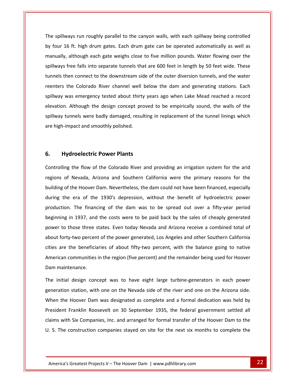spillways run roughly parallel to the canyon walls, with each spillway being controlled four 16 ft. high drum gates. Each drum gate can be operated automatically as well as<br>four 16 ft. high drum gates. Each drum gate can be operated automatically as well as ays run roughly parallel to the canyon walls, with each spillway being controlled<br>i ft. high drum gates. Each drum gate can be operated automatically as well as<br>although each gate weighs close to five million pounds. Water rays run roughly parallel to the canyon walls, with each spillway being controlled<br>6 ft. high drum gates. Each drum gate can be operated automatically as well as<br>although each gate weighs close to five million pounds. Wate The spillways run roughly parallel to the canyon walls, with each spillway being controlled lways run roughly parallel to the canyon walls, with each spillway being controlled<br>16 ft. high drum gates. Each drum gate can be operated automatically as well as<br>y, although each gate weighs close to five million pounds.  $h\nu$  four 6 ft. high drum gates. Each drum gate can be operated automatically as well as<br>although each gate weighs close to five million pounds. Water flowing over the<br>free falls into separate tunnels that are 600 feet in length by manually, although each gate weighs close to five million pounds. Water flowing over the where falls into separate tunnels that are 600 feet in length by 50 feet wide. These<br>then connect to the downstream side of the outer diversion tunnels, and the water<br>the Colorado River channel well below the dam and gener spillways free falls into separate tunnels that are 600 feet in length by 50 feet wide. These ree falls into separate tunnels that are 600 feet in length by 50 feet wide. These<br>en connect to the downstream side of the outer diversion tunnels, and the water<br>ne Colorado River channel well below the dam and generating tunnels then connect to the downstream side of the outer diversion tunnels, and the water then connect to the downstream side of the outer diversion tunnels, and the water<br>the Colorado River channel well below the dam and generating stations. Each<br>was emergency tested about thirty years ago when Lake Mead reach reenters the Colorado River channel well below the dam and generating stations. Each spillway was emergency tested about thirty years ago when Lake Mead reached a record<br>elevation. Although the design concept proved to be empirically sound, the walls of the<br>spillway tunnels were badly damaged, resulting in elevation. Although the design concept proved to be empirically sound, the walls of the **Hydroelectric Power Plants**<br> **Hydroelectric Power Plants**<br> **Hydroelectric Power Plants** are high-impact and smoothly polished. the flow of the Colorado River and providing an irrigation system for the arid

### $6.$

manually, in the control of the control of the control of the control of the control of the control of the con<br>In the control of the control of the control of the control of the control of the control of the control of th

**Iydroelectric Power Plants**<br>ng the flow of the Colorado River and providing an irrigation system for the arid<br>of Nevada, Arizona and Southern California were the primary reasons for the **lydroelectric Power Plants**<br>ng the flow of the Colorado River and providing an irrigation system for the arid<br>of Nevada, Arizona and Southern California were the primary reasons for the<br>of the Hoover Dam. Nevertheless, th Hydroelectric Power Plants<br>
ling the flow of the Colorado River and providing an irrigation system for the arid<br>
of Nevada, Arizona and Southern California were the primary reasons for the<br>
is of the Hoover Dam. Neverthele Controlling. The flow of the Colorado River and providing an irrigation system for the arid<br>
Ievada, Arizona and Southern California were the primary reasons for the<br>
Ie Hoover Dam. Nevertheless, the dam could not have been financed, e regions of Nevada, Arizona and Southern California were the primary reasons for the Nevada, Arizona and Southern California were the primary reasons for the<br>the Hoover Dam. Nevertheless, the dam could not have been financed, especially<br>e era of the 1930's depression, without the benefit of hydroelectric p building of the Hoover Dam. Nevertheless, the dam could not have been financed, especially g of the Hoover Dam. Nevertheless, the dam could not have been financed, especially<br>the era of the 1930's depression, without the benefit of hydroelectric power<br>tion. The financing of the dam was to be spread out over a fi during the era of the 1930's depression, without the benefit of hydroelectric power<br>production. The financing of the dam was to be spread out over a fifty-year period<br>beginning in 1937, and the costs were to be paid back b production. The financing of the dam was to be spread out over a fifty-year period ction. The financing of the dam was to be spread out over a fifty-year period<br>hing in 1937, and the costs were to be paid back by the sales of cheaply generated<br>to those three states. Even today Nevada and Arizona receive beginning in 1937, and the costs were to be paid back by the sales of cheaply generated in 1937, and the costs were to be paid back by the sales of cheaply generated<br>those three states. Even today Nevada and Arizona receive a combined total of<br>y-two percent of the power generated, Los Angeles and other Southe power to those three s<br>about forty-two percen<br>cities are the beneficia<br>American communities<br>Dam maintenance. It forty-two percent of the power generated, Los Angeles and other Southern California<br>
inter the beneficiaries of about fifty-two percent, with the balance going to native<br>
ican communities in the region (five percent) an cities are the beneficiaries of about fifty-two percent, with the balance going to native cities are the beneficiaries of about fifty-two percent, with the balance going to native<br>American communities in the region (five percent) and the remainder being used for Hoover<br>Dam maintenance.<br>The initial design concep Dam maintenance.

Franklin Roosevelt on 30 September 1935, the Tederal government settled all<br>1 Six Companies, Inc. and arranged for formal transfer of the Hoover Dam to the<br>construction companies stayed on site for the next six months to c the Hoover aintenance.<br>
itial design concept was to have eight large turbine-generators in each power<br>
tion station, with one on the Nevada side of the river and one on the Arizona side.<br>
the Hoover Dam was designated as c Examples and the settled all the settled all the settlem is tation, with one on the Nevada side of the river and one on the Arizona side.<br>Hoover Dam was designated as complete and a formal dedication was held by<br>Franklin R rhe ir itial design concept was to have eight large turbine-generators in each power<br>tion station, with one on the Nevada side of the river and one on the Arizona side.<br>the Hoover Dam was designated as complete and a formal dedic generation station, with one on the Nevada side of the river and one on the Arizona side. neration station, with one on the Nevada side of the river and one on the Arizona side.<br>
Near the Hoover Dam was designated as complete and a formal dedication was held by<br>
Insident Franklin Roosevelt on 30 September 1935,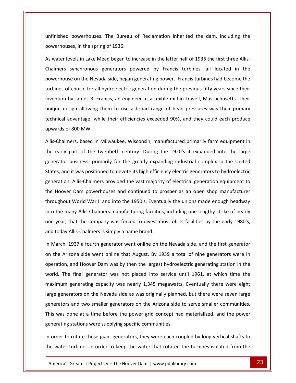powerhouses. The Bureau of Reclamation inherited the dam, including the in the spring of 1936.<br>
unfinished powerhouses. The Bureau<br>
powerhouses. in the spring of 1936. unfinished powerhouses. The Bureau of Reclamation inherited the dam, including the<br>powerhouses, in the spring of 1936.<br>As water levels in Lake Mead began to increase in the latter half of 1936 the first three Allispowerhouses. The Bureau of Reclamation inherited the dam, including the<br>es, in the spring of 1936.<br>vels in Lake Mead began to increase in the latter half of 1936 the first three Allis-<br>synchronous generators powered by Fra unfinished p powerhouses, in the spring of 1936.

owerhouses. The Bureau of Reclamation inherited the dam, including the<br>
s, in the spring of 1936.<br>
Ils in Lake Mead began to increase in the latter half of 1936 the first three Allis-<br>
Inchronous generators powered by Fran uses, in the spring of 1936.<br>
levels in Lake Mead began to increase in the latter half of 1936 the first three Allis-<br>
synchronous generators powered by Francis turbines, all located in the<br>
use on the Nevada side, began g As water levels in Lake Mead began to increase in the latter half of 1936 the first three Allisevels in Lake Mead began to increase in the latter half of 1936 the first three Allis-<br>synchronous generators powered by Francis turbines, all located in the<br>se on the Nevada side, began generating power. Francis turbines Chalmers synchronous generators powered by Francis turbines, all located in the<br>powerhouse on the Nevada side, began generating power. Francis turbines had become the<br>turbines of choice for all hydroelectric generation dur powerhouse on the Nevada side, began generating power. Francis turbines had become the ise on the Nevada side, began generating power. Francis turbines had become the<br>of choice for all hydroelectric generation during the previous fifty years since their<br>by James B. Francis, an engineer at a textile mill in L turbines of choice for all hydroelectric generation during the previous fifty years since their turbines of choice for all<br>invention by James B. Fra<br>unique design allowing t<br>technical advantage, whi<br>upwards of 800 MW. mes B. Francis, an engineer at a textile mill in Lowell, Massachusetts. Their<br>allowing them to use a broad range of head pressures was their primary<br>tage, while their efficiencies exceeded 90%, and they could each produce<br> uni ue design allowing them to use a broad range of head pressures was their primary<br>nical advantage, while their efficiencies exceeded 90%, and they could each produce<br>ards of 800 MW.<br>-Chalmers, based in Milwaukee, Wisconsin, technical advantage, while their efficiencies exceeded 90%, and they could each produce upwards of 800 MW.

dvantage, while their efficiencies exceeded 90%, and they could each produce<br>
E 800 MW.<br>
F 800 MW.<br>
F 800 MW.<br>
F 800 MW.<br>
F 800 MW.<br>
F 800 MW.<br>
F 800 MW.<br>
F 800 MW.<br>
F 800 MW.<br>
F 800 MW.<br>
F 800 MW.<br>
F 800 MW.<br>
F 800 MW.<br>
F ls of 800 MW.<br>almers, based in Milwaukee, Wisconsin, manufactured primarily farm equipment in<br>rly part of the twentieth century. During the 1920's it expanded into the large<br>tor business, primarily for the greatly expandin Allis-Chalmers, based in Milwaukee, Wisconsin, manufactured primarily farm equipment in rs, based in Milwaukee, Wisconsin, manufactured primarily farm equipment in<br>art of the twentieth century. During the 1920's it expanded into the large<br>usiness, primarily for the greatly expanding industrial complex in the the early part of the twentieth century. During the 1920's it expanded into the large<br>generator business, primarily for the greatly expanding industrial complex in the United<br>States, and it was positioned to devote its hig generator business, primarily for the greatly expanding industrial complex in the United usiness, primarily for the greatly expanding industrial complex in the United<br>t was positioned to devote its high efficiency electric generators to hydroelectric<br>Allis-Chalmers provided the vast majority of electrical gene States, and it was positioned to devote its high efficiency electric generators to hydroelectric<br>generation. Allis-Chalmers provided the vast majority of electrical generation equipment to<br>the Hoover Dam powerhouses and co generation. Allis-Chalmers provided the vast majority of electrical generation equipment to generation. Allis-Chalmers provided the vast majority of electrical generation equipment to<br>the Hoover Dam powerhouses and continued to prosper as an open shop manufacturer<br>throughout World War II and into the 1950's. Even Hoover Dam powerhouses and continued to pr<br>ughout World War II and into the 1950's. Eventu<br>the many Allis-Chalmers manufacturing facilities<br>year, that the company was forced to divest m<br>today Allis-Chalmers is simply a nam throughout World War II and into the 1950's. Eventually the unions made enough headway oughout World War II and into the 1950's. Eventually the unions made enough headway<br>o the many Allis-Chalmers manufacturing facilities, including one lengthy strike of nearly<br>e year, that the company was forced to divest m into the many Allis-Chalmers manufacturing facilities, including one lengthy strike of nearly the many Allis-Chalmers manufacturing facilities, including one lengthy strike of nearly<br>
evear, that the company was forced to divest most of its facilities by the early 1980's,<br>
l today Allis-Chalmers is simply a name br one year, and today Allis-Chalmers is simply a name brand.

generating stations were supplying specific communities. one at a time before the power grid concept had materialized, and the power<br>stations were supplying specific communities.<br>Totate these giant generators, they were each coupled by long vertical shafts to<br>turbines in order t hat the company was forced to divest most of its facilities by the early 1980's,<br>Allis-Chalmers is simply a name brand.<br>1937 a fourth generator went online on the Nevada side, and the first generator<br>2001 side went online ay Allis-Chalmers is simply a name brand.<br>
h, 1937 a fourth generator went online on the Nevada side, and the first generator<br>
Arizona side went online that August. By 1939 a total of nine generators were in<br>
on, and Hoove In March, 1937 a fourth generator went online on the Nevada side, and the first generator<br>on the Arizona side went online that August. By 1939 a total of nine generators were in<br>operation, and Hoover Dam was by then the la on the Arizona side went online that August. By 1939 a total of nine generators were in e Arizona side went online that August. By 1939 a total of nine generators were in<br>tion, and Hoover Dam was by then the largest hydroelectric generating station in the<br>. The final generator was not placed into service unti operation, and Hoover Dam was by then the largest hydroelectric generating station in the operation, and Hoover Dam was by then the largest hydroelectric generating station in the<br>world. The final generator was not placed into service until 1961, at which time the<br>maximum generating capacity was nearly 1,345 me d. The final generator was not placed into service until 1961, at which time the<br>mum generating capacity was nearly 1,345 megawatts. Eventually there were eight<br>generators on the Nevada side as was originally planned, but maximum generating capacity was nearly 1,345 megawatts<br>large generators on the Nevada side as was originally planne<br>generators and two smaller generators on the Arizona side<br>This was done at a time before the power grid co large generators on the Nevada side as was originally planned, but there were seven large ge generators on the Nevada side as was originally planned, but there were seven large<br>nerators and two smaller generators on the Arizona side to serve smaller communities.<br>is was done at a time before the power grid conce generators and two smaller generators on the Arizona side to serve smaller communities. erators and two smaller generators on the Arizona side to serve smaller communities.<br>
was done at a time before the power grid concept had materialized, and the power<br>
erating stations were supplying specific communities.<br>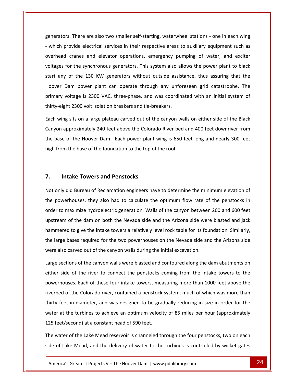There are also two smaller self-starting, waterwheel stations - one in each wing enerators. There are also two smaller self-starting, waterwheel stations - one in each wing<br>which provide electrical services in their respective areas to auxiliary equipment such as cranes and elevator operations, emergency pumping of water, and exciter operations and elevator operations, emergency pumping of water, and exciter For the synchronous generators. There are also two smaller self-starting, waterwheel stations - one in each wing<br>provide electrical services in their respective areas to auxiliary equipment such as<br>all cranes and elevator generators. There are also two smaller self-starting, waterwheel stations - one in each wing ators. There are also two smaller self-starting, waterwheel stations - one in each wing<br>th provide electrical services in their respective areas to auxiliary equipment such as<br>ead cranes and elevator operations, emergency - which provide electrical services in their respective areas to auxiliary equipment such as provide electrical services in their respective areas to auxiliary equipment such as<br>d cranes and elevator operations, emergency pumping of water, and exciter<br>for the synchronous generators. This system also allows the pow overhead cranes and elevator operations, emergency pumping of water, and exciter x cranes and elevator operations, emergency pumping of water, and exciter<br>for the synchronous generators. This system also allows the power plant to black<br>y of the 130 KW generators without outside assistance, thus assurin voltages for the synchronous generators. This system also allows the power plant to black voltages for the synchronous generators. This system also al<br>start any of the 130 KW generators without outside assis<br>Hoover Dam power plant can operate through any unfo<br>primary voltage is 2300 VAC, three-phase, and was co any of the 130 KW generators without outside assistance, thus assuring that the<br>er Dam power plant can operate through any unforeseen grid catastrophe. The<br>ary voltage is 2300 VAC, three-phase, and was coordinated with an Hoover Dam power plant can operate through any unforeseen grid catastrophe. The<br>voltage is 2300 VAC, three-phase, and was coordinated with an initial system of<br>ght 2300 volt isolation breakers and tie-breakers.<br>ng sits on a large primary voltage is 2300 VAC, three-phase, and was coordinated with an initial system of thirty-eight 2300 volt isolation breakers and tie-breakers.

nary voltage is 2300 VAC, three-phase, and was coordinated with an initial system of<br>ry-eight 2300 volt isolation breakers and tie-breakers.<br>I wing sits on a large plateau carved out of the canyon walls on either side of t q-eight 2300 volt isolation breakers and tie-breakers.<br>wing sits on a large plateau carved out of the canyon wall<br>on approximately 240 feet above the Colorado River bed a<br>pase of the Hoover Dam. Each power plant wing is 65 Canyon approximately 240 feet above the Colorado River bed and 400 feet downriver from approximately 240 feet above the Colorad<br> **Intake Towers** and **Penstocks**<br> **Intake Towers and Penstocks** high from the base of the foundation to the top of the roof. from the base of the foundation to the top of the roof.<br> **Intake Towers and Penstocks**<br>
only did Bureau of Reclamation engineers have to determine the minimum elevation of

### 7. **Intake Towers and Penstocks**

overhead in 1970.<br>Overhead

Intake Towers and Penstocks<br>
only did Bureau of Reclamation engineers have to determine the minimum elevation of<br>
powerhouses, they also had to calculate the optimum flow rate of the penstocks in Intake Towers and Penstocks<br>hly did Bureau of Reclamation engineers have to determine the minimum elevation of<br>bwerhouses, they also had to calculate the optimum flow rate of the penstocks in<br>to maximize hydroelectric gene Cake Towers and Penstocks<br>id Bureau of Reclamation engineers have to determine the minimum elevation of<br>houses, they also had to calculate the optimum flow rate of the penstocks in<br>naximize hydroelectric generation. Walls Not only did Bureau of Reclamation engineers have to determine the minimum elevation of Not only did Bureau of Reclamation engineers have to determine the minimum elevation of<br>the powerhouses, they also had to calculate the optimum flow rate of the penstocks in<br>order to maximize hydroelectric generation. Wall powerhouses, they also had to calculate the optimum flow rate of the penstocks in<br>er to maximize hydroelectric generation. Walls of the canyon between 200 and 600 feet<br>tream of the dam on both the Nevada side and the Arizo order to maximize hydroelectric generation. Walls of the canyon between 200 and 600 feet order to maximize hydroelectric generation. Walls of the canyon betweer<br>upstream of the dam on both the Nevada side and the Arizona side were<br>hammered to give the intake towers a relatively level rock table for its fou<br>the eam of the dam on both the Nevada side and the Arizona side were blasted and jack<br>
ered to give the intake towers a relatively level rock table for its foundation. Similarly,<br>
rge bases required for the two powerhouses on hammered to give the intake towers a relatively level rock table for its foundation. Similarly, ered to give the intake towers a relatively level rock table for its foundation. Similarly,<br>ge bases required for the two powerhouses on the Nevada side and the Arizona side<br>lso carved out of the canyon walls during the in the large bases required for the two powerhouses on the Nevada side and the Arizona side were also carved out of the canyon walls during the initial excavation.

125 feet/second) at a constant head of 590 feet. Internal of S90 feet.<br>
Servert Approximately<br>
Servert Approximately<br>
Servert Approximately<br>
Servert Approximately<br>
Servert Approximately<br>
Greatest Projects V – The Hoover Dam | www.pdhlibrary.com<br>
24 is required for the two powerhouses on the Nevada side and the Arizona side<br>ed out of the canyon walls during the initial excavation.<br>of the canyon walls were blasted and contoured along the dam abutments on<br>the river to c of carved out of the canyon walls during the initial excavation.<br>
itions of the canyon walls were blasted and contoured along the dam abutments on<br>
de of the river to connect the penstocks coming from the intake towers to Large sections of the canyon walls were blasted and contoured along the dam abutments on sections of the canyon walls were blasted and contoured along the dam abutments on<br>side of the river to connect the penstocks coming from the intake towers to the<br>houses. Each of these four intake towers, measuring more th either side of the river to connect the penstocks coming from the intake towers to the side of the river to connect the penstocks coming from the intake towers to the<br>houses. Each of these four intake towers, measuring more than 1000 feet above the<br>ed of the Colorado river, contained a penstock system, much powerhouses. Each of these four intake towers, measuring more than 1000 feet above the powerhouses. Each of these four intake towers, mearly entired of the Colorado river, contained a penstock thirty feet in diameter, and was designed to be grand water at the turbines to achieve an optimum velocide 125 feet/ bed of the Colorado river, contained a penstock system, much of which was more than<br>
y feet in diameter, and was designed to be gradually reducing in size in order for the<br>
er at the turbines to achieve an optimum velocity thirty feet in diameter, and was designed to be gradually reducing in size in order for the<br>water at the turbines to achieve an optimum velocity of 85 miles per hour (approximately<br>125 feet/second) at a constant head of 59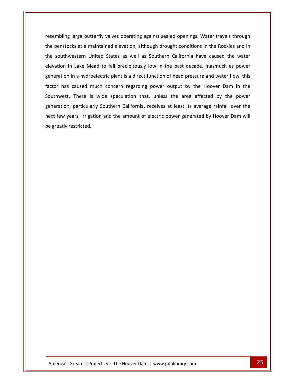large butterfly valves operating against sealed openings. Water travels through penstocks at a maintained elevation, although drought conditions in the Rockies and in<br>
Figures at a maintained elevation, although drought conditions in the Rockies and in mbling large butterfly valves operating against sealed openings. Water travels through<br>benstocks at a maintained elevation, although drought conditions in the Rockies and in<br>southwestern United States as well as Southern C in Lake Mead to fall precisions and the past sealed openings. Water travels through<br>pocks at a maintained elevation, although drought conditions in the Rockies and in<br>western United States as well as Southern California ha racamhling large butterfly valves operating against sealed openings. Water travels through<br>the sat a maintained elevation, although drought conditions in the Rockies and in<br>vestern United States as well as Southern California have ca the penstocks at a maintained elevation, although drought conditions in the Rockies and in natocks at a maintained elevation, although drought conditions in the Rockies and in<br>uthwestern United States as well as Southern California have caused the water<br>pon in Lake Mead to fall precipitously low in the past deca the southwestern United States as well as Southern California have caused the water Instern United States as well as Southern California have caused the water<br>Lake Mead to fall precipitously low in the past decade. Inasmuch as power<br>a hydroelectric plant is a direct function of head pressure and water flo elevation in Lake Mead to fall precipitously low in the past decade. Inasmuch as power<br>generation in a hydroelectric plant is a direct function of head pressure and water flow, this<br>factor has caused much concern regarding generation in a hydroelectric plant is a direct function of head pressure and water flow, this ration in a hydroelectric plant is a direct function of head pressure and water flow, this<br>
r has caused much concern regarding power output by the Hoover Dam in the<br>
nwest. There is wide speculation that, unless the area factor has caused much concern regarding power output by the Hoover Dam in the tor has caused r<br>uthwest. There interation, particulated.<br>t few years, irrigated.

the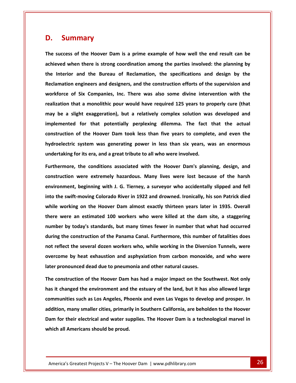# **Summary D.** Summary

**The**

 **success of the Hoover Dam is <sup>a</sup> prime example of how well the end result can be when** there is strong coordination among the parties involved: the planning by<br>
when there is strong coordination among the parties involved: the planning by **Summary**<br> **Interior** and the Bureau of Reclamation, the specifications and design by the<br> **Interior** and the Bureau of Reclamation, the specifications and design by the **end end end end construction and the end espectively** and the Bureau of Reclamation, the specifications and design by the engineers and designers, and the construction efforts of the supervision and The success of the Hoover Dam is a prime example of how well the end result can be **of the Hoover Dam is a prime example of how well the end result can be<br>
then there is strong coordination among the parties involved: the planning by<br>
<b>Inc. Inc. Inc. Companies**, and the construction efforts of the **realization that a o example 125 whereas involved example in the linterior** and the Bureau of Reclamation, the specifications and design by the Reclamation engineers and designers, and the construction effort the Interior and the Bureau of Reclamation, the specifications and design by the **headler a headler a b example is a construction efforts** of the supervision and<br> **b example is a slight companies**, Inc. There was also some divine intervention with the<br> **a a slight exaggeration**), Reclamation engineers and designers, and the construction efforts of the supervision and **for for for for for for for for for for for for for for for for for for for for for for for for for for for for for for for for for for for for for** workforce of Six Companies, Inc. There was also some divine intervention with the **six Companies, Inc. There was also some divine intervention with the at a monolithic pour would have required 125 years to properly cure (that ght exaggeration), but a relatively complex solution was developed and for tha** realization that a monolithic pour would have required 125 years to properly cure (that<br>may be a slight exaggeration), but a relatively complex solution was developed and<br>implemented for that potentially perplexing dilemma may be a slight exaggeration), but a relatively complex solution wa<br>
implemented for that potentially perplexing dilemma. The fact<br>
construction of the Hoover Dam took less than five years to comple<br>
hydroelectric system w **for that potentially perplexing dilemma.** The fact that the actual<br>
of the Hoover Dam took less than five years to complete, and even the<br>
system was generating power in less than six years, was an enormous<br>
or its era, a **construction**of the Hoover Dam took less than five years to complete, and even the<br>system was generating power in less than six years, was an enormous<br>or its era, and a great tribute to all who were involved.<br>the conditions associated hydroelectric system was generating power in less than six years, was an enormous undertaking for its era, and a great tribute to all who were involved.

**beginning outerary beginning outer in less than six years, was an enormous<br>
out its era, and a great tribute to all who were involved.<br>
the conditions associated with the Hoover Dam's planning, design, and<br>
were ext example 15 and 3** are tribute to all who were involved.<br> **Thermore, the conditions associated with the Hoover Dam's planning, design, and<br>
<b>Example 1922** and **Example 1922** and **Example 1922** and **Example 1922** and **Prope** Furthermore, the conditions associated with the Hoover Dam's planning, design, and<br>construction were extremely hazardous. Many lives were lost because of the harsh<br>environment, beginning with J. G. Tierney, a surveyor who construction were extremely hazardous. Many lives were lost because of the harsh were extremely hazardous. Many lives were lost because of the harsh<br>nment, beginning with J. G. Tierney, a surveyor who accidentally slipped and fell<br>le swift-moving Colorado River in 1922 and drowned. Ironically, his son environment, beginning with J. G. Tierney, a surveyor who accidentally slipped and fell **heath, beginning with J. G. Tierney, a surveyor who accidentally slipped and fell<br>
<b>swift-moving Colorado River in 1922 and drowned. Ironically, his son Patrick died<br>
prking on the Hoover Dam almost exactly thirteen years** into the swift-moving Colorado River in 1922 and drowned. Ironically, his son Patrick died<br>while working on the Hoover Dam almost exactly thirteen years later in 1935. Overall<br>there were an estimated 100 workers who were k while working on the Hoover Dam almost exactly thirteen years later in 1935. Overall **reflect** the several dozen vorkers who were killed at the dam site, a staggering<br>
there an estimated 100 workers who were killed at the dam site, a staggering<br>
where by today's standards, but many times fewer in number th there were an estimated 100 workers who were killed at the dam site, a staggering **heath is also the several down were who were killed at the dam site, a staggering <br>
<b>c** today's standards, but many times fewer in number that what had occurred<br>
construction of the Panama Canal. Furthermore, this number number by today's standards, but many times fewer in number that what had occurred **during the construction of the Panama Canal. Furthermore, this number of fatalities does** reflect the several dozen workers who, while working in the Diversion Tunnels, were<br>come by heat exhaustion and asphyxiation from carbon monoxide, and who were<br>come by heat exhaustion and asphyxiation from carbon monoxide, not reflect the several dozen workers who, while working in the Diversion Tunnels, were **i come by heat exhaustion and asphyxiation from carbon monoxide, and who were repronounced dead due to pneumonia and other natural causes.<br>
<b>construction of the Hoover Dam** has had a major impact on the Southwest. Not o **overcome by heat exhaustion and asphyxiation from carbon monoxide, and who were** later pronounced dead due to pneumonia and other natural causes.

which all Americans should be proud. Figure 26. September 2012 of the Hoover Dam is a technological marvel in<br>Mericans should be proud.<br>Greatest Projects V – The Hoover Dam | www.pdhlibrary.com 26 **s**<br>**heat exhaustion and asphyxiation from carbon monoxide, and who were<br>ced dead due to pneumonia and other natural causes.<br>
ion of the Hoover Dam has had a major impact on the Southwest. Not only<br>
d the environment and t many** is the Hoover Dam has had a major impact on the Southwest. Not only inged the environment and the estuary of the land, but it has also allowed large ties such as Los Angeles, Phoenix and even Las Vegas to develop an .<br>ا **Th**e **for the form of the Hoover Dam** has had a major impact on the Southwest. Not only<br> **For the environment and the estuary of the land, but it has also allowed large<br>
nunities such as Los Angeles, Phoenix and even Las Vegas** has it changed the environment and the estuary of the land, but it has also allowed large communities such as Los Angeles, Phoenix and even Las Vegas to develop and prosper. In addition, many smaller cities, primarily in Southern California, are beholden to the Hoover Dam for their electrical and water supplies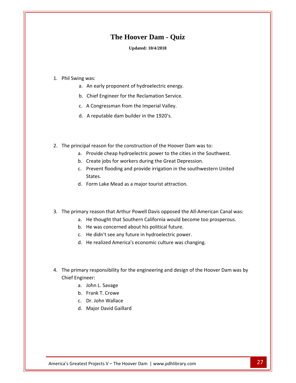### **The Hoover Dam - Quiz**

### **Updated: 10/4/2018**

# Phil Swing was:

- Updated: 10/4/2018<br>
ng was:<br>
a. An early proponent of hydroelectric energy. ng was:<br>a. An early proponent of hydroelectric energy.<br>b. Chief Engineer for the Reclamation Service. ng was:<br>a. An early proponent of hydroelectric energy.<br>b. Chief Engineer for the Reclamation Service.<br>c. A Congressman from the Imperial Valley. was:<br>An early proponent of hydroelectric energy<br>Chief Engineer for the Reclamation Service.<br>A Congressman from the Imperial Valley.<br>A reputable dam builder in the 1920's.
- 
- 
- d. A reputable dam builder in the 1920's.
- c. A Congressman from the Imperial Valley.<br>
d. A reputable dam builder in the 1920's.<br>
The principal reason for the construction of the Hoover Dam was to: d. A reputable dam builder in the 1920's.<br>
Provide cheap hydroelectric power to the cities in the Southwest.
	- Create is a reputable dam bunder in the 1520 s.<br>
	The Hoover Dam was to:<br>
	The Greate interestion of the Great Depression.<br>
	The Create inte Sourt Create in the Sourt Depression. al reason for the construction of the Hoover Dam was to:<br>Provide cheap hydroelectric power to the cities in the Southwest.<br>Create jobs for workers during the Great Depression.<br>Prevent flooding and provide irrigation in the
	-
	- ncipal reason for the construction of the Hoover Dam<br>
	a. Provide cheap hydroelectric power to the cities in<br>
	b. Create jobs for workers during the Great Depressic<br>
	c. Prevent flooding and provide irrigation in the soutl<br>
	S c. Prevent flooding and provide irrigation in the southwestern United<br>States.<br>d. Form Lake Mead as a major tourist attraction.<br>The primary reason that Arthur Powell Davis opposed the All-American Canal was:
		-
- States.<br>d. Form Lake Mead as a major tourist attraction.<br>mary reason that Arthur Powell Davis opposed the All-American Canal was:<br>a. He thought that Southern California would become too prosperous. d. Form Lake Mead as a major tourist attraction.<br>mary reason that Arthur Powell Davis opposed the A<br>a. He thought that Southern California would becor<br>b. He was concerned about his political future. mary reason that Arthur Powell Davis opposed the All-Ar<br>a. He thought that Southern California would become t<br>b. He was concerned about his political future.<br>c. He didn't see any future in hydroelectric power. y reason that Arthur Powell Davis opposed the All-America<br>He thought that Southern California would become too pro<br>He was concerned about his political future.<br>He didn't see any future in hydroelectric power.<br>He realized A
	-
	-
	-
	- d. He realized America's economic culture was changing.
- b. He was concerned about his political future.<br>
c. He didn't see any future in hydroelectric power.<br>
d. He realized America's economic culture was changing.<br>
The primary responsibility for the engineering and design of th c. He didn't<br>d. He realize<br>rimary respons<br>Engineer: He realized America's e<br>y responsibility for the e<br>eer:<br>John L. Savage y responsibility for the e<br>eer:<br>John L. Savage<br>Frank T. Crowe y responsibility for the en<sub>!</sub><br>eer:<br>John L. Savage<br>Frank T. Crowe<br>Dr. John Wallace mary responsibility for the<br>ngineer:<br>a. John L. Savage<br>b. Frank T. Crowe<br>c. Dr. John Wallace<br>d. Maior David Gaillard
	-
	-
	-
	-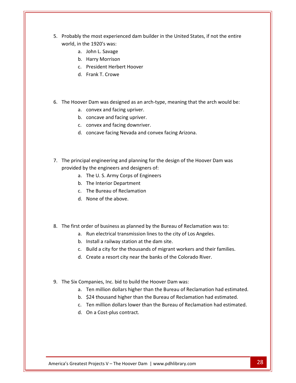- Probably the most experienced dam builder in the United States, if not the entire **in the most experience**<br>in the 1920's was: **Moreole Serverse Conserverse Conserverse Conserverse Conserverse Conserverse Conserverse Conservation**<br>John L. Savage e most experienced dam<br>ie 1920's was:<br>John L. Savage<br>Harry Morrison ie most experienced dam builde<br>ie 1920's was:<br>John L. Savage<br>Harry Morrison<br>President Herbert Hoover ly the most experienced dar<br>
n the 1920's was:<br>
a. John L. Savage<br>
b. Harry Morrison<br>
c. President Herbert Hoov<br>
d. Frank T. Crowe
	-

a.

- 
- c. President Herbert Hoover
- 
- b. Harry Morrison<br>c. President Herbert Hoover<br>d. Frank T. Crowe<br>The Hoover Dam was designed as an arch-type, meaning that the arch would be: c. President Herbert Hoover<br>d. Frank T. Crowe<br>over Dam was designed as an arch-<br>a. convex and facing upriver. d. Frank T. Crowe<br>over Dam was designed as an arch-t<br>a. convex and facing upriver.<br>b. concave and facing upriver. over Dam was designed as an arch-typ<br>
a. convex and facing upriver.<br>
b. concave and facing upriver.<br>
c. convex and facing downriver. r Dam was designed as an arch-type, meaning that the<br>convex and facing upriver.<br>concave and facing downriver.<br>concave facing Nevada and convex facing Arizona.
	-
	-
	- c. convex and facing downriver.
	- a.
- b. concave and facing upriver.<br>
c. convex and facing downriver.<br>
d. concave facing Nevada and convex facing Arizona.<br>
The principal engineering and planning for the design of the Hoover Dam was convex and facing downriver.<br>
concave facing Nevada and convex facing<br>
ipal engineering and planning for the de<br>
by the engineers and designers of: concave facing Nevada and convex facing<br>al engineering and planning for the desig<br>y the engineers and designers of:<br>The U. S. Army Corps of Engineers al engineering and planning fo<br>
y the engineers and designers of<br>
The U. S. Army Corps of Engine<br>
The Interior Department al engineering and planning for the complement<br>of the Bureau of Alesigners of:<br>The U. S. Army Corps of Engineers<br>The Interior Department<br>The Bureau of Reclamation al engineering and pland<br>y the engineers and desi<br>The U. S. Army Corps of<br>The Interior Departmen<br>The Bureau of Reclamat<br>None of the above.
	-
	-
	- c. The Bureau of Reclamation
	-
- b. The Interior Department<br>
c. The Bureau of Reclamation<br>
d. None of the above.<br>
The first order of business as planned by the Bureau of Reclamation was to: c. The Bureau of Reclamation<br>d. None of the above.<br>t order of business as planned by the Bureau of Reclamation was to<br>a. Run electrical transmission lines to the city of Los Angeles. Example to the Build a city of the Sureau of Reclamation was to:<br>
Build a city for the thousands of migrant workers and their families.<br>
The same of migrant workers and their families.<br>
The same of migrant workers and thei
	- d. None of the above.<br>I order of business as planned by the Bureau of Recla<br>a. Run electrical transmission lines to the city of Los<br>b. Install a railway station at the dam site. der of business as planned by the Bureau of Reclamation was<br>Run electrical transmission lines to the city of Los Angeles.<br>Install a railway station at the dam site.<br>Build a city for the thousands of migrant workers and the
	-
	- c. Build a city for the thousands of migrant workers and their families. c. Build a city for the thousands of migrant workers and their families.<br>
	d. Create a resort city near the banks of the Colorado River.<br>
	Companies, Inc. bid to build the Hoover Dam was:<br>
	a. Ten million dollars higher than
	- b. Install a railway station at the dam site.<br>
	c. Build a city for the thousands of migrant workers and th<br>
	d. Create a resort city near the banks of the Colorado River<br>
	The Six Companies. Inc. bid to build the Hoover Dam
- 
- d. Create a resort city near the banks of the Colorado River.<br>
Companies, Inc. bid to build the Hoover Dam was:<br>
a. Ten million dollars higher than the Bureau of Reclamation had estimated.<br>
b. \$24 thousand higher than the Companies, Inc. bid to build the Hoover Dam was:<br>a. Ten million dollars higher than the Bureau of Reclamation had estimated.<br>b. \$24 thousand higher than the Bureau of Reclamation had estimated.<br>c. Ten million dollars lower
	-
- 9. The Six Companies, Inc. bid to build the Hoover Dam was:<br>
a. Ten million dollars higher than the Bureau of Reclamation had estimated.<br>
b. \$24 thousand higher than the Bureau of Reclamation had estimated.<br>
c. Ten million
	-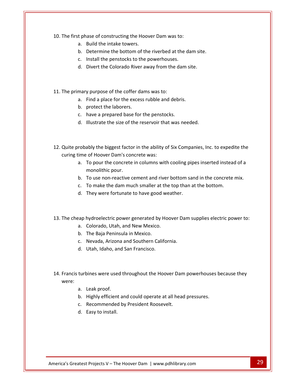The first phase of constructing the Hoover Dam was to: ENDREVIDED:<br>Build the intake towers.<br>B. Build the intake towers. Example 1 and the bottom of the bottom of the bottom of the riverbed at the dam site.<br>
Determine the bottom of the riverbed at the dam site.

- 
- I phase of constructing the Hoover Dam was to:<br>
a. Build the intake towers.<br>
b. Determine the bottom of the riverbed at the d<br>
c. Install the penstocks to the powerhouses. ase of constructing the Hoover Dam was to:<br>Build the intake towers.<br>Determine the bottom of the riverbed at the dam site.<br>Install the penstocks to the powerhouses.<br>Divert the Colorado River away from the dam site. b. Determine the bottom of the riverbed at<br>c. Install the penstocks to the powerhouses.<br>d. Divert the Colorado River away from the of<br>The primary purpose of the coffer dams was to:
	- c. Install the penstocks to the powerhouses.
	- c. Install the penstocks to the powerhouses.<br>d. Divert the Colorado River away from the dam site<br>mary purpose of the coffer dams was to:<br>a. Find a place for the excess rubble and debris.
- 11. The primary purpose of the coffer dams was to:<br>
a. Find a place for the excess rubble and debris.<br>
b. protect the laborers.<br>
c. have a prepared base for the penstocks.
- d. Divert the Colorado River<br>mary purpose of the coffer da<br>a. Find a place for the exces<br>b. protect the laborers. If y purpose of the coffer dams was to:<br>
Find a place for the excess rubble and debris.<br>
protect the laborers.<br>
have a prepared base for the penstocks.<br>
Illustrate the size of the reservoir that was needed.
	-
	-
	- d. Illustrate the size of the reservoir that was needed.
- b. protect the laborers.<br>
c. have a prepared base for the penstocks.<br>
d. Illustrate the size of the reservoir that was needed.<br>
Quite probably the biggest factor in the ability of Six Companies, Inc. to expedite the c. have a prepared base for the penstom<br>d. Illustrate the size of the reservoir than<br>orobably the biggest factor in the ability of<br>time of Hoover Dam's concrete was: Illustrate the size of the reservoir that was needed.<br>ably the biggest factor in the ability of Six Companies, Inc. to expedite the<br>of Hoover Dam's concrete was:<br>To pour the concrete in columns with cooling pipes inserted robably the biggest facto<br>ime of Hoover Dam's cor<br>a. To pour the concrete<br>monolithic pour.
	- To robably the biggest factor in the ability of Six Companies, Inc. to expedite the<br>ime of Hoover Dam's concrete was:<br>a. To pour the concrete in columns with cooling pipes inserted instead of a<br>monolithic pour.<br>b. To use n robably the biggest factor in the ability of Six Companies, Inc. to exped<br>ime of Hoover Dam's concrete was:<br>a. To pour the concrete in columns with cooling pipes inserted instea<br>monolithic pour.<br>b. To use non-reactive ceme curing time of Hoover Dam's concrete was:<br>a. To pour the concrete in columns with cooling pipes inserted instead of a<br>monolithic pour.<br>b. To use non-reactive cement and river bottom sand in the concrete mix.
	- b. To use non-reactive cement and river bottom sand in the concrete mix.<br>
	c. To make the dam much smaller at the top than at the bottom.<br>
	d. They were fortunate to have good weather.<br>
	The cheap hydroelectric power generate
		- c. To make the dam much smaller at the<br>d. They were fortunate to have good wear<br>pap hydroelectric power generated by Hoc<br>a. Colorado. Utah, and New Mexico.
		-
- d. They were fortunate to have good weather.<br>
eap hydroelectric power generated by Hoover Dannan<br>
a. Colorado, Utah, and New Mexico.<br>
b. The Baja Peninsula in Mexico. Pap hydroelectric power generated by Hoover Dar<br>a. Colorado, Utah, and New Mexico.<br>b. The Baja Peninsula in Mexico.<br>c. Nevada. Arizona and Southern California.
	-
	-
	- hydroelectric power generated by H<br>Colorado, Utah, and New Mexico.<br>The Baja Peninsula in Mexico.<br>Nevada, Arizona and Southern Califo<br>Utah. Idaho. and San Francisco.
	- d. Utah, Idaho, and San Francisco.
- b. The Baja Peninsula in Mexico.<br>
c. Nevada, Arizona and Southern California.<br>
d. Utah, Idaho, and San Francisco.<br>
Francis turbines were used throughout the Hoover Dam powerhouses because they d. Utah, Idaho, and<br>turbines were used<br>a. Leak proof. Fighly efficient and could operate at all head pressures.<br>A. Leak proof.<br>A. Highly efficient and could operate at all head pressures. turbines were used throughout the Hoover Dan<br>a. Leak proof.<br>b. Highly efficient and could operate at all head<br>c. Recommended by President Roosevelt. oines were used<br>Leak proof.<br>Highly efficient a<br>Recommended b<br>Easy to install. were:
	-
	-
	-
	-